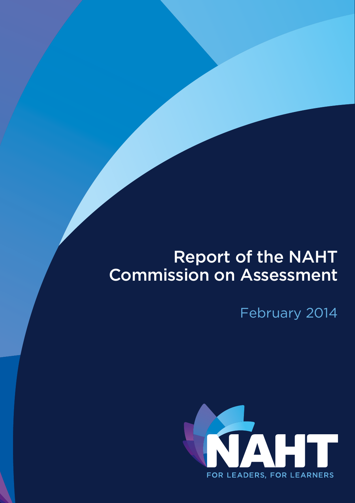# Report of the NAHT Commission on Assessment

February 2014

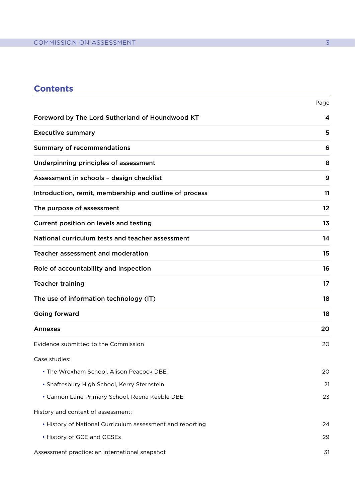# **Contents**

|                                                           | Page |
|-----------------------------------------------------------|------|
| Foreword by The Lord Sutherland of Houndwood KT           | 4    |
| <b>Executive summary</b>                                  | 5    |
| <b>Summary of recommendations</b>                         | 6    |
| Underpinning principles of assessment                     | 8    |
| Assessment in schools - design checklist                  | 9    |
| Introduction, remit, membership and outline of process    | 11   |
| The purpose of assessment                                 | 12   |
| Current position on levels and testing                    | 13   |
| National curriculum tests and teacher assessment          | 14   |
| <b>Teacher assessment and moderation</b>                  | 15   |
| Role of accountability and inspection                     | 16   |
| <b>Teacher training</b>                                   | 17   |
| The use of information technology (IT)                    | 18   |
| Going forward                                             | 18   |
| <b>Annexes</b>                                            | 20   |
| Evidence submitted to the Commission                      | 20   |
| Case studies:                                             |      |
| • The Wroxham School, Alison Peacock DBE                  | 20   |
| • Shaftesbury High School, Kerry Sternstein               | 21   |
| • Cannon Lane Primary School, Reena Keeble DBE            | 23   |
| History and context of assessment:                        |      |
| • History of National Curriculum assessment and reporting | 24   |
| • History of GCE and GCSEs                                | 29   |
| Assessment practice: an international snapshot            | 31   |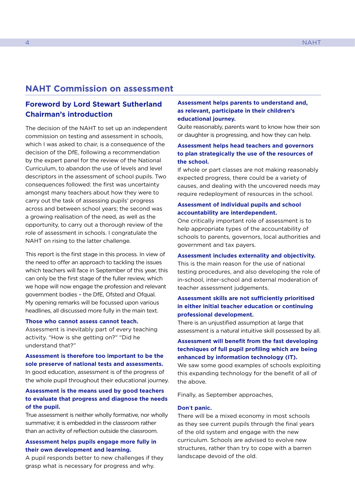# **NAHT Commission on assessment**

# **Foreword by Lord Stewart Sutherland Chairman's introduction**

The decision of the NAHT to set up an independent commission on testing and assessment in schools, which I was asked to chair, is a consequence of the decision of the DfE, following a recommendation by the expert panel for the review of the National Curriculum, to abandon the use of levels and level descriptors in the assessment of school pupils. Two consequences followed: the first was uncertainty amongst many teachers about how they were to carry out the task of assessing pupils' progress across and between school years; the second was a growing realisation of the need, as well as the opportunity, to carry out a thorough review of the role of assessment in schools. I congratulate the NAHT on rising to the latter challenge.

This report is the first stage in this process. In view of the need to offer an approach to tackling the issues which teachers will face in September of this year, this can only be the first stage of the fuller review, which we hope will now engage the profession and relevant government bodies – the DfE, Ofsted and Ofqual. My opening remarks will be focussed upon various headlines, all discussed more fully in the main text.

#### **Those who cannot assess cannot teach.**

Assessment is inevitably part of every teaching activity. "How is she getting on?" "Did he understand that?"

### **Assessment is therefore too important to be the sole preserve of national tests and assessments.**

In good education, assessment is of the progress of the whole pupil throughout their educational journey.

### **Assessment is the means used by good teachers to evaluate that progress and diagnose the needs of the pupil.**

True assessment is neither wholly formative, nor wholly summative; it is embedded in the classroom rather than an activity of reflection outside the classroom.

### **Assessment helps pupils engage more fully in their own development and learning.**

A pupil responds better to new challenges if they grasp what is necessary for progress and why.

### **Assessment helps parents to understand and, as relevant, participate in their children's educational journey.**

Quite reasonably, parents want to know how their son or daughter is progressing, and how they can help.

### **Assessment helps head teachers and governors to plan strategically the use of the resources of the school.**

If whole or part classes are not making reasonably expected progress, there could be a variety of causes, and dealing with the uncovered needs may require redeployment of resources in the school.

### **Assessment of individual pupils and school accountability are interdependent.**

One critically important role of assessment is to help appropriate types of the accountability of schools to parents, governors, local authorities and government and tax payers.

#### **Assessment includes externality and objectivity.**

This is the main reason for the use of national testing procedures, and also developing the role of in-school, inter-school and external moderation of teacher assessment judgements.

### **Assessment skills are not sufficiently prioritised in either initial teacher education or continuing professional development.**

There is an unjustified assumption at large that assessment is a natural intuitive skill possessed by all.

### **Assessment will benefit from the fast developing techniques of full pupil profiling which are being enhanced by information technology (IT).**

We saw some good examples of schools exploiting this expanding technology for the benefit of all of the above.

Finally, as September approaches,

### **Don**'**t panic.**

There will be a mixed economy in most schools as they see current pupils through the final years of the old system and engage with the new curriculum. Schools are advised to evolve new structures, rather than try to cope with a barren landscape devoid of the old.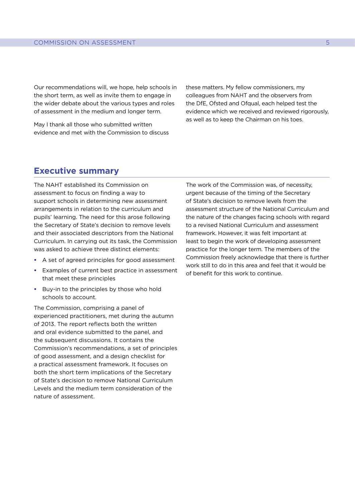Our recommendations will, we hope, help schools in the short term, as well as invite them to engage in the wider debate about the various types and roles of assessment in the medium and longer term.

May I thank all those who submitted written evidence and met with the Commission to discuss these matters. My fellow commissioners, my colleagues from NAHT and the observers from the DfE, Ofsted and Ofqual, each helped test the evidence which we received and reviewed rigorously, as well as to keep the Chairman on his toes.

### **Executive summary**

The NAHT established its Commission on assessment to focus on finding a way to support schools in determining new assessment arrangements in relation to the curriculum and pupils' learning. The need for this arose following the Secretary of State's decision to remove levels and their associated descriptors from the National Curriculum. In carrying out its task, the Commission was asked to achieve three distinct elements:

- **•** A set of agreed principles for good assessment
- **•** Examples of current best practice in assessment that meet these principles
- **•** Buy-in to the principles by those who hold schools to account.

The Commission, comprising a panel of experienced practitioners, met during the autumn of 2013. The report reflects both the written and oral evidence submitted to the panel, and the subsequent discussions. It contains the Commission's recommendations, a set of principles of good assessment, and a design checklist for a practical assessment framework. It focuses on both the short term implications of the Secretary of State's decision to remove National Curriculum Levels and the medium term consideration of the nature of assessment.

The work of the Commission was, of necessity, urgent because of the timing of the Secretary of State's decision to remove levels from the assessment structure of the National Curriculum and the nature of the changes facing schools with regard to a revised National Curriculum and assessment framework. However, it was felt important at least to begin the work of developing assessment practice for the longer term. The members of the Commission freely acknowledge that there is further work still to do in this area and feel that it would be of benefit for this work to continue.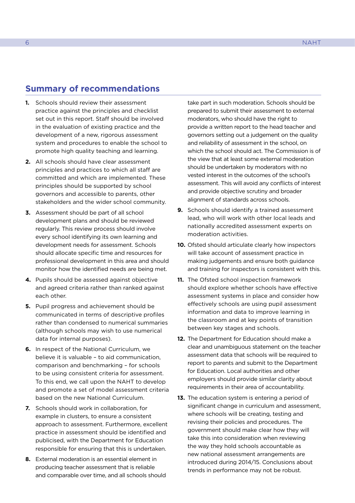# **Summary of recommendations**

- **1.** Schools should review their assessment practice against the principles and checklist set out in this report. Staff should be involved in the evaluation of existing practice and the development of a new, rigorous assessment system and procedures to enable the school to promote high quality teaching and learning.
- **2.** All schools should have clear assessment principles and practices to which all staff are committed and which are implemented. These principles should be supported by school governors and accessible to parents, other stakeholders and the wider school community.
- **3.** Assessment should be part of all school development plans and should be reviewed regularly. This review process should involve every school identifying its own learning and development needs for assessment. Schools should allocate specific time and resources for professional development in this area and should monitor how the identified needs are being met.
- **4.** Pupils should be assessed against objective and agreed criteria rather than ranked against each other.
- **5.** Pupil progress and achievement should be communicated in terms of descriptive profiles rather than condensed to numerical summaries (although schools may wish to use numerical data for internal purposes).
- **6.** In respect of the National Curriculum, we believe it is valuable – to aid communication, comparison and benchmarking – for schools to be using consistent criteria for assessment. To this end, we call upon the NAHT to develop and promote a set of model assessment criteria based on the new National Curriculum.
- **7.** Schools should work in collaboration, for example in clusters, to ensure a consistent approach to assessment. Furthermore, excellent practice in assessment should be identified and publicised, with the Department for Education responsible for ensuring that this is undertaken.
- **8.** External moderation is an essential element in producing teacher assessment that is reliable and comparable over time, and all schools should

take part in such moderation. Schools should be prepared to submit their assessment to external moderators, who should have the right to provide a written report to the head teacher and governors setting out a judgement on the quality and reliability of assessment in the school, on which the school should act. The Commission is of the view that at least some external moderation should be undertaken by moderators with no vested interest in the outcomes of the school's assessment. This will avoid any conflicts of interest and provide objective scrutiny and broader alignment of standards across schools.

- **9.** Schools should identify a trained assessment lead, who will work with other local leads and nationally accredited assessment experts on moderation activities.
- **10.** Ofsted should articulate clearly how inspectors will take account of assessment practice in making judgements and ensure both guidance and training for inspectors is consistent with this.
- **11.** The Ofsted school inspection framework should explore whether schools have effective assessment systems in place and consider how effectively schools are using pupil assessment information and data to improve learning in the classroom and at key points of transition between key stages and schools.
- **12.** The Department for Education should make a clear and unambiguous statement on the teacher assessment data that schools will be required to report to parents and submit to the Department for Education. Local authorities and other employers should provide similar clarity about requirements in their area of accountability.
- **13.** The education system is entering a period of significant change in curriculum and assessment, where schools will be creating, testing and revising their policies and procedures. The government should make clear how they will take this into consideration when reviewing the way they hold schools accountable as new national assessment arrangements are introduced during 2014/15. Conclusions about trends in performance may not be robust.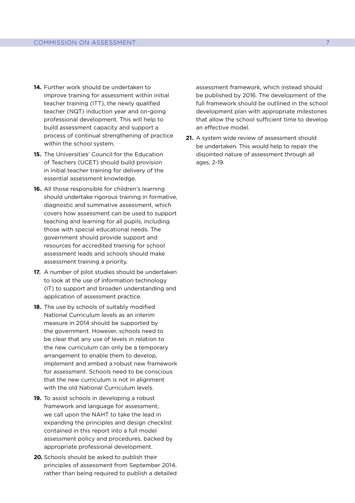- **14.** Further work should be undertaken to improve training for assessment within initial teacher training (ITT), the newly qualified teacher (NQT) induction year and on-going professional development. This will help to build assessment capacity and support a process of continual strengthening of practice within the school system.
- **15.** The Universities' Council for the Education of Teachers (UCET) should build provision in initial teacher training for delivery of the essential assessment knowledge.
- **16.** All those responsible for children's learning should undertake rigorous training in formative, diagnostic and summative assessment, which covers how assessment can be used to support teaching and learning for all pupils, including those with special educational needs. The government should provide support and resources for accredited training for school assessment leads and schools should make assessment training a priority.
- **17.** A number of pilot studies should be undertaken to look at the use of information technology (IT) to support and broaden understanding and application of assessment practice.
- **18.** The use by schools of suitably modified National Curriculum levels as an interim measure in 2014 should be supported by the government. However, schools need to be clear that any use of levels in relation to the new curriculum can only be a temporary arrangement to enable them to develop, implement and embed a robust new framework for assessment. Schools need to be conscious that the new curriculum is not in alignment with the old National Curriculum levels.
- **19.** To assist schools in developing a robust framework and language for assessment, we call upon the NAHT to take the lead in expanding the principles and design checklist contained in this report into a full model assessment policy and procedures, backed by appropriate professional development.
- **20.** Schools should be asked to publish their principles of assessment from September 2014, rather than being required to publish a detailed

assessment framework, which instead should be published by 2016. The development of the full framework should be outlined in the school development plan with appropriate milestones that allow the school sufficient time to develop an effective model.

**21.** A system wide review of assessment should be undertaken. This would help to repair the disjointed nature of assessment through all ages, 2-19.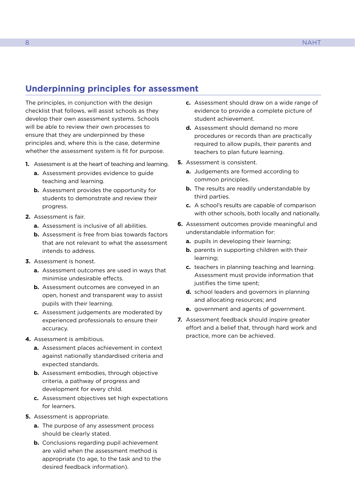# **Underpinning principles for assessment**

The principles, in conjunction with the design checklist that follows, will assist schools as they develop their own assessment systems. Schools will be able to review their own processes to ensure that they are underpinned by these principles and, where this is the case, determine whether the assessment system is fit for purpose.

- **1.** Assessment is at the heart of teaching and learning.
	- **a.** Assessment provides evidence to guide teaching and learning.
	- **b.** Assessment provides the opportunity for students to demonstrate and review their progress.
- **2.** Assessment is fair.
	- **a.** Assessment is inclusive of all abilities.
	- **b.** Assessment is free from bias towards factors that are not relevant to what the assessment intends to address.
- **3.** Assessment is honest.
	- **a.** Assessment outcomes are used in ways that minimise undesirable effects.
	- **b.** Assessment outcomes are conveyed in an open, honest and transparent way to assist pupils with their learning.
	- **c.** Assessment judgements are moderated by experienced professionals to ensure their accuracy.
- **4.** Assessment is ambitious.
	- **a.** Assessment places achievement in context against nationally standardised criteria and expected standards.
	- **b.** Assessment embodies, through objective criteria, a pathway of progress and development for every child.
	- **c.** Assessment objectives set high expectations for learners.
- **5.** Assessment is appropriate.
	- **a.** The purpose of any assessment process should be clearly stated.
	- **b.** Conclusions regarding pupil achievement are valid when the assessment method is appropriate (to age, to the task and to the desired feedback information).
- **c.** Assessment should draw on a wide range of evidence to provide a complete picture of student achievement.
- **d.** Assessment should demand no more procedures or records than are practically required to allow pupils, their parents and teachers to plan future learning.
- **5.** Assessment is consistent.
	- **a.** Judgements are formed according to common principles.
	- **b.** The results are readily understandable by third parties.
	- **c.** A school's results are capable of comparison with other schools, both locally and nationally.
- **6.** Assessment outcomes provide meaningful and understandable information for:
	- **a.** pupils in developing their learning;
	- **b.** parents in supporting children with their learning;
	- **c.** teachers in planning teaching and learning. Assessment must provide information that justifies the time spent;
	- **d.** school leaders and governors in planning and allocating resources; and
	- **e.** government and agents of government.
- **7.** Assessment feedback should inspire greater effort and a belief that, through hard work and practice, more can be achieved.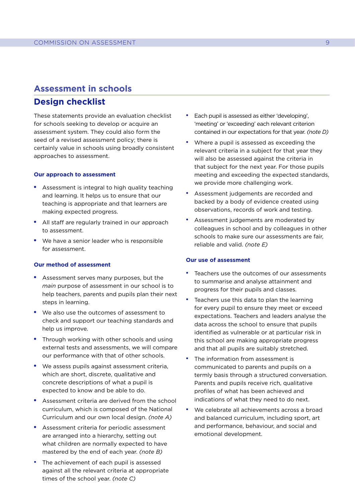# **Assessment in schools Design checklist**

These statements provide an evaluation checklist for schools seeking to develop or acquire an assessment system. They could also form the seed of a revised assessment policy; there is certainly value in schools using broadly consistent approaches to assessment.

#### **Our approach to assessment**

- **•** Assessment is integral to high quality teaching and learning. It helps us to ensure that our teaching is appropriate and that learners are making expected progress.
- **•** All staff are regularly trained in our approach to assessment.
- **•** We have a senior leader who is responsible for assessment.

#### **Our method of assessment**

- **•** Assessment serves many purposes, but the *main* purpose of assessment in our school is to help teachers, parents and pupils plan their next steps in learning.
- **•** We also use the outcomes of assessment to check and support our teaching standards and help us improve.
- **•** Through working with other schools and using external tests and assessments, we will compare our performance with that of other schools.
- **•** We assess pupils against assessment criteria, which are short, discrete, qualitative and concrete descriptions of what a pupil is expected to know and be able to do.
- **•** Assessment criteria are derived from the school curriculum, which is composed of the National Curriculum and our own local design. *(note A)*
- **•** Assessment criteria for periodic assessment are arranged into a hierarchy, setting out what children are normally expected to have mastered by the end of each year. *(note B)*
- The achievement of each pupil is assessed against all the relevant criteria at appropriate times of the school year. *(note C)*
- Each pupil is assessed as either 'developing', 'meeting' or 'exceeding' each relevant criterion contained in our expectations for that year. *(note D)*
- Where a pupil is assessed as exceeding the relevant criteria in a subject for that year they will also be assessed against the criteria in that subject for the next year. For those pupils meeting and exceeding the expected standards, we provide more challenging work.
- Assessment judgements are recorded and backed by a body of evidence created using observations, records of work and testing.
- Assessment judgements are moderated by colleagues in school and by colleagues in other schools to make sure our assessments are fair, reliable and valid. *(note E)*

#### **Our use of assessment**

- Teachers use the outcomes of our assessments to summarise and analyse attainment and progress for their pupils and classes.
- Teachers use this data to plan the learning for every pupil to ensure they meet or exceed expectations. Teachers and leaders analyse the data across the school to ensure that pupils identified as vulnerable or at particular risk in this school are making appropriate progress and that all pupils are suitably stretched.
- The information from assessment is communicated to parents and pupils on a termly basis through a structured conversation. Parents and pupils receive rich, qualitative profiles of what has been achieved and indications of what they need to do next.
- We celebrate all achievements across a broad and balanced curriculum, including sport, art and performance, behaviour, and social and emotional development.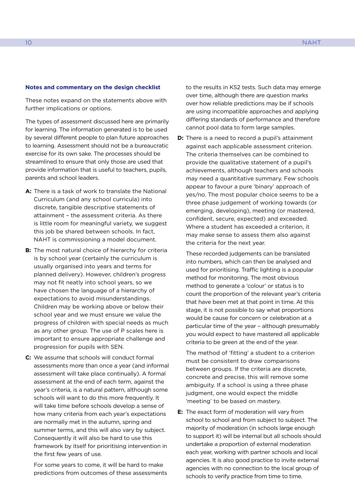#### **Notes and commentary on the design checklist**

These notes expand on the statements above with further implications or options.

The types of assessment discussed here are primarily for learning. The information generated is to be used by several different people to plan future approaches to learning. Assessment should not be a bureaucratic exercise for its own sake. The processes should be streamlined to ensure that only those are used that provide information that is useful to teachers, pupils, parents and school leaders.

- **A:** There is a task of work to translate the National Curriculum (and any school curricula) into discrete, tangible descriptive statements of attainment – the assessment criteria. As there is little room for meaningful variety, we suggest this job be shared between schools. In fact, NAHT is commissioning a model document.
- **B:** The most natural choice of hierarchy for criteria is by school year (certainly the curriculum is usually organised into years and terms for planned delivery). However, children's progress may not fit neatly into school years, so we have chosen the language of a hierarchy of expectations to avoid misunderstandings. Children may be working above or below their school year and we must ensure we value the progress of children with special needs as much as any other group. The use of P scales here is important to ensure appropriate challenge and progression for pupils with SEN.
- **C:** We assume that schools will conduct formal assessments more than once a year (and informal assessment will take place continually). A formal assessment at the end of each term, against the year's criteria, is a natural pattern, although some schools will want to do this more frequently. It will take time before schools develop a sense of how many criteria from each year's expectations are normally met in the autumn, spring and summer terms, and this will also vary by subject. Consequently it will also be hard to use this framework by itself for prioritising intervention in the first few years of use.

For some years to come, it will be hard to make predictions from outcomes of these assessments to the results in KS2 tests. Such data may emerge over time, although there are question marks over how reliable predictions may be if schools are using incompatible approaches and applying differing standards of performance and therefore cannot pool data to form large samples.

**D:** There is a need to record a pupil's attainment against each applicable assessment criterion. The criteria themselves can be combined to provide the qualitative statement of a pupil's achievements, although teachers and schools may need a quantitative summary. Few schools appear to favour a pure 'binary' approach of yes/no. The most popular choice seems to be a three phase judgement of working towards (or emerging, developing), meeting (or mastered, confident, secure, expected) and exceeded. Where a student has exceeded a criterion, it may make sense to assess them also against the criteria for the next year.

These recorded judgements can be translated into numbers, which can then be analysed and used for prioritising. Traffic lighting is a popular method for monitoring. The most obvious method to generate a 'colour' or status is to count the proportion of the relevant year's criteria that have been met at that point in time. At this stage, it is not possible to say what proportions would be cause for concern or celebration at a particular time of the year – although presumably you would expect to have mastered all applicable criteria to be green at the end of the year.

The method of 'fitting' a student to a criterion must be consistent to draw comparisons between groups. If the criteria are discrete, concrete and precise, this will remove some ambiguity. If a school is using a three phase judgment, one would expect the middle 'meeting' to be based on mastery.

**E:** The exact form of moderation will vary from school to school and from subject to subject. The majority of moderation (in schools large enough to support it) will be internal but all schools should undertake a proportion of external moderation each year, working with partner schools and local agencies. It is also good practice to invite external agencies with no connection to the local group of schools to verify practice from time to time.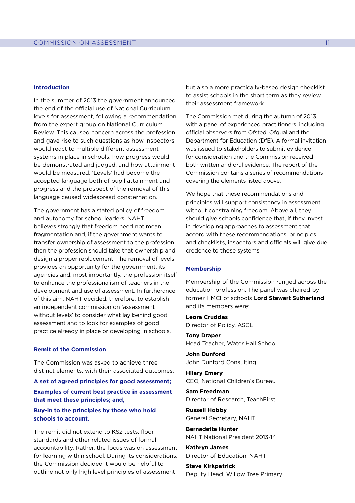#### **Introduction**

In the summer of 2013 the government announced the end of the official use of National Curriculum levels for assessment, following a recommendation from the expert group on National Curriculum Review. This caused concern across the profession and gave rise to such questions as how inspectors would react to multiple different assessment systems in place in schools, how progress would be demonstrated and judged, and how attainment would be measured. 'Levels' had become the accepted language both of pupil attainment and progress and the prospect of the removal of this language caused widespread consternation.

The government has a stated policy of freedom and autonomy for school leaders. NAHT believes strongly that freedom need not mean fragmentation and, if the government wants to transfer ownership of assessment to the profession, then the profession should take that ownership and design a proper replacement. The removal of levels provides an opportunity for the government, its agencies and, most importantly, the profession itself to enhance the professionalism of teachers in the development and use of assessment. In furtherance of this aim, NAHT decided, therefore, to establish an independent commission on 'assessment without levels' to consider what lay behind good assessment and to look for examples of good practice already in place or developing in schools.

#### **Remit of the Commission**

The Commission was asked to achieve three distinct elements, with their associated outcomes:

**A set of agreed principles for good assessment; Examples of current best practice in assessment that meet these principles; and,**

### **Buy-in to the principles by those who hold schools to account.**

The remit did not extend to KS2 tests, floor standards and other related issues of formal accountability. Rather, the focus was on assessment for learning within school. During its considerations, the Commission decided it would be helpful to outline not only high level principles of assessment

but also a more practically-based design checklist to assist schools in the short term as they review their assessment framework.

The Commission met during the autumn of 2013, with a panel of experienced practitioners, including official observers from Ofsted, Ofqual and the Department for Education (DfE). A formal invitation was issued to stakeholders to submit evidence for consideration and the Commission received both written and oral evidence. The report of the Commission contains a series of recommendations covering the elements listed above.

We hope that these recommendations and principles will support consistency in assessment without constraining freedom. Above all, they should give schools confidence that, if they invest in developing approaches to assessment that accord with these recommendations, principles and checklists, inspectors and officials will give due credence to those systems.

#### **Membership**

Membership of the Commission ranged across the education profession. The panel was chaired by former HMCI of schools **Lord Stewart Sutherland** and its members were:

**Leora Cruddas** Director of Policy, ASCL

**Tony Draper** Head Teacher, Water Hall School

**John Dunford** John Dunford Consulting

**Hilary Emery** CEO, National Children's Bureau

**Sam Freedman** Director of Research, TeachFirst

**Russell Hobby** General Secretary, NAHT

**Bernadette Hunter** NAHT National President 2013-14

**Kathryn James** Director of Education, NAHT

**Steve Kirkpatrick** Deputy Head, Willow Tree Primary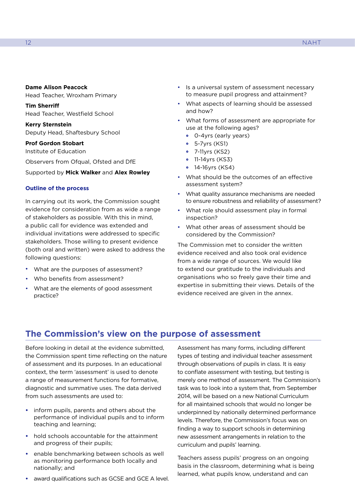#### **Dame Alison Peacock**

Head Teacher, Wroxham Primary

**Tim Sherriff** Head Teacher, Westfield School

**Kerry Sternstein** Deputy Head, Shaftesbury School

#### **Prof Gordon Stobart**

Institute of Education

Observers from Ofqual, Ofsted and DfE

Supported by **Mick Walker** and **Alex Rowley**

#### **Outline of the process**

In carrying out its work, the Commission sought evidence for consideration from as wide a range of stakeholders as possible. With this in mind, a public call for evidence was extended and individual invitations were addressed to specific stakeholders. Those willing to present evidence (both oral and written) were asked to address the following questions:

- What are the purposes of assessment?
- Who benefits from assessment?
- What are the elements of good assessment practice?
- Is a universal system of assessment necessary to measure pupil progress and attainment?
- What aspects of learning should be assessed and how?
- What forms of assessment are appropriate for use at the following ages?
	- 0-4yrs (early years)
	- 5-7yrs (KS1)
	- 7-11yrs (KS2)
	- 11-14yrs (KS3)
	- 14-16yrs (KS4)
- What should be the outcomes of an effective assessment system?
- What quality assurance mechanisms are needed to ensure robustness and reliability of assessment?
- What role should assessment play in formal inspection?
- What other areas of assessment should be considered by the Commission?

The Commission met to consider the written evidence received and also took oral evidence from a wide range of sources. We would like to extend our gratitude to the individuals and organisations who so freely gave their time and expertise in submitting their views. Details of the evidence received are given in the annex.

### **The Commission's view on the purpose of assessment**

Before looking in detail at the evidence submitted, the Commission spent time reflecting on the nature of assessment and its purposes. In an educational context, the term 'assessment' is used to denote a range of measurement functions for formative, diagnostic and summative uses. The data derived from such assessments are used to:

- **•** inform pupils, parents and others about the performance of individual pupils and to inform teaching and learning;
- **•** hold schools accountable for the attainment and progress of their pupils;
- **•** enable benchmarking between schools as well as monitoring performance both locally and nationally; and
- **•** award qualifications such as GCSE and GCE A level.

Assessment has many forms, including different types of testing and individual teacher assessment through observations of pupils in class. It is easy to conflate assessment with testing, but testing is merely one method of assessment. The Commission's task was to look into a system that, from September 2014, will be based on a new National Curriculum for all maintained schools that would no longer be underpinned by nationally determined performance levels. Therefore, the Commission's focus was on finding a way to support schools in determining new assessment arrangements in relation to the curriculum and pupils' learning.

Teachers assess pupils' progress on an ongoing basis in the classroom, determining what is being learned, what pupils know, understand and can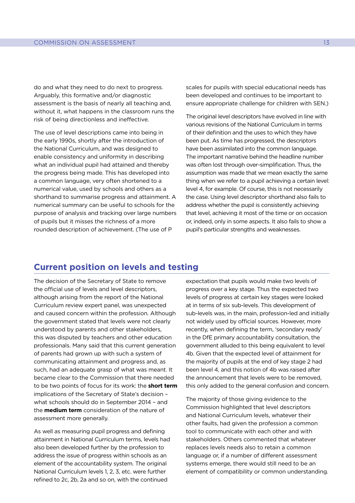do and what they need to do next to progress. Arguably, this formative and/or diagnostic assessment is the basis of nearly all teaching and, without it, what happens in the classroom runs the risk of being directionless and ineffective.

The use of level descriptions came into being in the early 1990s, shortly after the introduction of the National Curriculum, and was designed to enable consistency and uniformity in describing what an individual pupil had attained and thereby the progress being made. This has developed into a common language, very often shortened to a numerical value, used by schools and others as a shorthand to summarise progress and attainment. A numerical summary can be useful to schools for the purpose of analysis and tracking over large numbers of pupils but it misses the richness of a more rounded description of achievement. (The use of P

scales for pupils with special educational needs has been developed and continues to be important to ensure appropriate challenge for children with SEN.)

The original level descriptors have evolved in line with various revisions of the National Curriculum in terms of their definition and the uses to which they have been put. As time has progressed, the descriptors have been assimilated into the common language. The important narrative behind the headline number was often lost through over-simplification. Thus, the assumption was made that we mean exactly the same thing when we refer to a pupil achieving a certain level: level 4, for example. Of course, this is not necessarily the case. Using level descriptor shorthand also fails to address whether the pupil is consistently achieving that level, achieving it most of the time or on occasion or, indeed, only in some aspects. It also fails to show a pupil's particular strengths and weaknesses.

## **Current position on levels and testing**

The decision of the Secretary of State to remove the official use of levels and level descriptors, although arising from the report of the National Curriculum review expert panel, was unexpected and caused concern within the profession. Although the government stated that levels were not clearly understood by parents and other stakeholders, this was disputed by teachers and other education professionals. Many said that this current generation of parents had grown up with such a system of communicating attainment and progress and, as such, had an adequate grasp of what was meant. It became clear to the Commission that there needed to be two points of focus for its work: the **short term** implications of the Secretary of State's decision – what schools should do in September 2014 – and the **medium term** consideration of the nature of assessment more generally.

As well as measuring pupil progress and defining attainment in National Curriculum terms, levels had also been developed further by the profession to address the issue of progress within schools as an element of the accountability system. The original National Curriculum levels 1, 2, 3, etc. were further refined to 2c, 2b, 2a and so on, with the continued

expectation that pupils would make two levels of progress over a key stage. Thus the expected two levels of progress at certain key stages were looked at in terms of six sub-levels. This development of sub-levels was, in the main, profession-led and initially not widely used by official sources. However, more recently, when defining the term, 'secondary ready' in the DfE primary accountability consultation, the government alluded to this being equivalent to level 4b. Given that the expected level of attainment for the majority of pupils at the end of key stage 2 had been level 4, and this notion of 4b was raised after the announcement that levels were to be removed, this only added to the general confusion and concern.

The majority of those giving evidence to the Commission highlighted that level descriptors and National Curriculum levels, whatever their other faults, had given the profession a common tool to communicate with each other and with stakeholders. Others commented that whatever replaces levels needs also to retain a common language or, if a number of different assessment systems emerge, there would still need to be an element of compatibility or common understanding.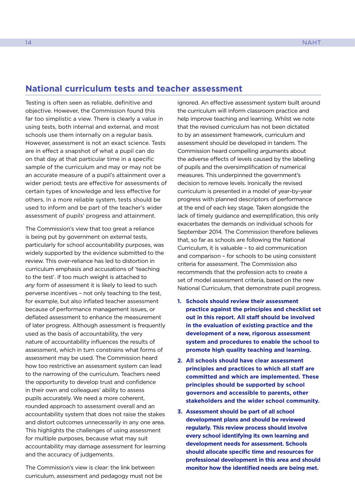# **National curriculum tests and teacher assessment**

Testing is often seen as reliable, definitive and objective. However, the Commission found this far too simplistic a view. There is clearly a value in using tests, both internal and external, and most schools use them internally on a regular basis. However, assessment is not an exact science. Tests are in effect a snapshot of what a pupil can do on that day at that particular time in a specific sample of the curriculum and may or may not be an accurate measure of a pupil's attainment over a wider period; tests are effective for assessments of certain types of knowledge and less effective for others. In a more reliable system, tests should be used to inform and be part of the teacher's wider assessment of pupils' progress and attainment.

The Commission's view that too great a reliance is being put by government on external tests, particularly for school accountability purposes, was widely supported by the evidence submitted to the review. This over-reliance has led to distortion in curriculum emphasis and accusations of 'teaching to the test'. If too much weight is attached to *any* form of assessment it is likely to lead to such perverse incentives – not only teaching to the test, for example, but also inflated teacher assessment because of performance management issues, or deflated assessment to enhance the measurement of later progress. Although assessment is frequently used as the basis of accountability, the very nature of accountability influences the results of assessment, which in turn constrains what forms of assessment may be used. The Commission heard how too restrictive an assessment system can lead to the narrowing of the curriculum. Teachers need the opportunity to develop trust and confidence in their own and colleagues' ability to assess pupils accurately. We need a more coherent, rounded approach to assessment overall and an accountability system that does not raise the stakes and distort outcomes unnecessarily in any one area. This highlights the challenges of using assessment for multiple purposes, because what may suit accountability may damage assessment for learning and the accuracy of judgements.

The Commission's view is clear: the link between curriculum, assessment and pedagogy must not be ignored. An effective assessment system built around the curriculum will inform classroom practice and help improve teaching and learning. Whilst we note that the revised curriculum has not been dictated to by an assessment framework, curriculum and assessment should be developed in tandem. The Commission heard compelling arguments about the adverse effects of levels caused by the labelling of pupils and the oversimplification of numerical measures. This underpinned the government's decision to remove levels. Ironically the revised curriculum is presented in a model of year-by-year progress with planned descriptors of performance at the end of each key stage. Taken alongside the lack of timely guidance and exemplification, this only exacerbates the demands on individual schools for September 2014. The Commission therefore believes that, so far as schools are following the National Curriculum, it is valuable – to aid communication and comparison – for schools to be using consistent criteria for assessment. The Commission also recommends that the profession acts to create a set of model assessment criteria, based on the new National Curriculum, that demonstrate pupil progress.

- **1. Schools should review their assessment practice against the principles and checklist set out in this report. All staff should be involved in the evaluation of existing practice and the development of a new, rigorous assessment system and procedures to enable the school to promote high quality teaching and learning.**
- **2. All schools should have clear assessment principles and practices to which all staff are committed and which are implemented. These principles should be supported by school governors and accessible to parents, other stakeholders and the wider school community.**
- **3. Assessment should be part of all school development plans and should be reviewed regularly. This review process should involve every school identifying its own learning and development needs for assessment. Schools should allocate specific time and resources for professional development in this area and should monitor how the identified needs are being met.**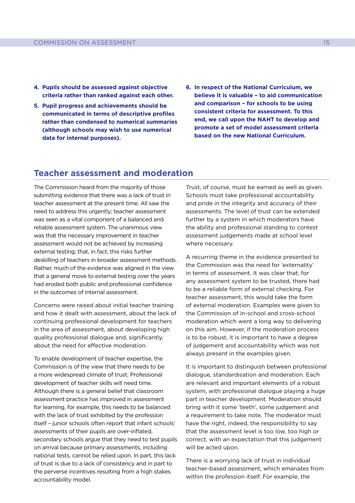- **4. Pupils should be assessed against objective criteria rather than ranked against each other.**
- **5. Pupil progress and achievements should be communicated in terms of descriptive profiles rather than condensed to numerical summaries (although schools may wish to use numerical data for internal purposes).**
- **6. In respect of the National Curriculum, we believe it is valuable – to aid communication and comparison – for schools to be using consistent criteria for assessment. To this end, we call upon the NAHT to develop and promote a set of model assessment criteria based on the new National Curriculum.**

### **Teacher assessment and moderation**

The Commission heard from the majority of those submitting evidence that there was a lack of trust in teacher assessment at the present time. All saw the need to address this urgently; teacher assessment was seen as a vital component of a balanced and reliable assessment system. The unanimous view was that the necessary improvement in teacher assessment would not be achieved by increasing external testing; that, in fact, this risks further deskilling of teachers in broader assessment methods. Rather, much of the evidence was aligned in the view that a general move to external testing over the years had eroded both public and professional confidence in the outcomes of internal assessment.

Concerns were raised about initial teacher training and how it dealt with assessment, about the lack of continuing professional development for teachers in the area of assessment, about developing high quality professional dialogue and, significantly, about the need for effective moderation.

To enable development of teacher expertise, the Commission is of the view that there needs to be a more widespread climate of trust. Professional development of teacher skills will need time. Although there is a general belief that classroom assessment practice has improved in assessment for learning, for example, this needs to be balanced with the lack of trust exhibited by the profession itself – junior schools often report that infant schools' assessments of their pupils are over-inflated, secondary schools argue that they need to test pupils on arrival because primary assessments, including national tests, cannot be relied upon. In part, this lack of trust is due to a lack of consistency and in part to the perverse incentives resulting from a high stakes accountability model.

Trust, of course, must be earned as well as given. Schools must take professional accountability and pride in the integrity and accuracy of their assessments. The level of trust can be extended further by a system in which moderators have the ability and professional standing to contest assessment judgements made at school level where necessary.

A recurring theme in the evidence presented to the Commission was the need for 'externality' in terms of assessment. It was clear that, for any assessment system to be trusted, there had to be a reliable form of external checking. For teacher assessment, this would take the form of external moderation. Examples were given to the Commission of in-school and cross-school moderation which went a long way to delivering on this aim. However, if the moderation process is to be robust, it is important to have a degree of judgement and accountability which was not always present in the examples given.

It is important to distinguish between professional dialogue, standardisation and moderation. Each are relevant and important elements of a robust system, with professional dialogue playing a huge part in teacher development. Moderation should bring with it some 'teeth', some judgement and a requirement to take note. The moderator must have the right, indeed, the responsibility to say that the assessment level is too low, too high or correct, with an expectation that this judgement will be acted upon.

There is a worrying lack of trust in individual teacher-based assessment, which emanates from within the profession itself. For example, the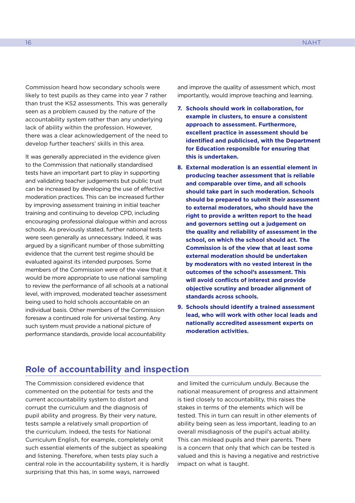Commission heard how secondary schools were likely to test pupils as they came into year 7 rather than trust the KS2 assessments. This was generally seen as a problem caused by the nature of the accountability system rather than any underlying lack of ability within the profession. However, there was a clear acknowledgement of the need to develop further teachers' skills in this area.

It was generally appreciated in the evidence given to the Commission that nationally standardised tests have an important part to play in supporting and validating teacher judgements but public trust can be increased by developing the use of effective moderation practices. This can be increased further by improving assessment training in initial teacher training and continuing to develop CPD, including encouraging professional dialogue within and across schools. As previously stated, further national tests were seen generally as unnecessary. Indeed, it was argued by a significant number of those submitting evidence that the current test regime should be evaluated against its intended purposes. Some members of the Commission were of the view that it would be more appropriate to use national sampling to review the performance of all schools at a national level, with improved, moderated teacher assessment being used to hold schools accountable on an individual basis. Other members of the Commission foresaw a continued role for universal testing. Any such system must provide a national picture of performance standards, provide local accountability

and improve the quality of assessment which, most importantly, would improve teaching and learning.

- **7. Schools should work in collaboration, for example in clusters, to ensure a consistent approach to assessment. Furthermore, excellent practice in assessment should be identified and publicised, with the Department for Education responsible for ensuring that this is undertaken.**
- **8. External moderation is an essential element in producing teacher assessment that is reliable and comparable over time, and all schools should take part in such moderation. Schools should be prepared to submit their assessment to external moderators, who should have the right to provide a written report to the head and governors setting out a judgement on the quality and reliability of assessment in the school, on which the school should act. The Commission is of the view that at least some external moderation should be undertaken by moderators with no vested interest in the outcomes of the school's assessment. This will avoid conflicts of interest and provide objective scrutiny and broader alignment of standards across schools.**
- **9. Schools should identify a trained assessment lead, who will work with other local leads and nationally accredited assessment experts on moderation activities.**

# **Role of accountability and inspection**

The Commission considered evidence that commented on the potential for tests and the current accountability system to distort and corrupt the curriculum and the diagnosis of pupil ability and progress. By their very nature, tests sample a relatively small proportion of the curriculum. Indeed, the tests for National Curriculum English, for example, completely omit such essential elements of the subject as speaking and listening. Therefore, when tests play such a central role in the accountability system, it is hardly surprising that this has, in some ways, narrowed

and limited the curriculum unduly. Because the national measurement of progress and attainment is tied closely to accountability, this raises the stakes in terms of the elements which will be tested. This in turn can result in other elements of ability being seen as less important, leading to an overall misdiagnosis of the pupil's actual ability. This can mislead pupils and their parents. There is a concern that only that which can be tested is valued and this is having a negative and restrictive impact on what is taught.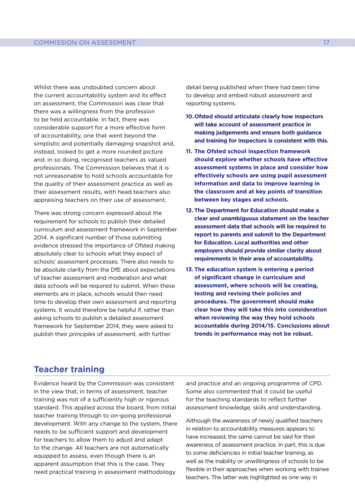Whilst there was undoubted concern about the current accountability system and its effect on assessment, the Commission was clear that there was a willingness from the profession to be held accountable. In fact, there was considerable support for a more effective form of accountability, one that went beyond the simplistic and potentially damaging snapshot and, instead, looked to get a more rounded picture and, in so doing, recognised teachers as valued professionals. The Commission believes that it is not unreasonable to hold schools accountable for the quality of their assessment practice as well as their assessment results, with head teachers also appraising teachers on their use of assessment.

There was strong concern expressed about the requirement for schools to publish their detailed curriculum and assessment framework in September 2014. A significant number of those submitting evidence stressed the importance of Ofsted making absolutely clear to schools what they expect of schools' assessment processes. There also needs to be absolute clarity from the DfE about expectations of teacher assessment and moderation and what data schools will be required to submit. When these elements are in place, schools would then need time to develop their own assessment and reporting systems. It would therefore be helpful if, rather than asking schools to publish a detailed assessment framework for September 2014, they were asked to publish their *principles* of assessment, with further

detail being published when there had been time to develop and embed robust assessment and reporting systems.

- **10.Ofsted should articulate clearly how inspectors will take account of assessment practice in making judgements and ensure both guidance and training for inspectors is consistent with this.**
- **11. The Ofsted school inspection framework should explore whether schools have effective assessment systems in place and consider how effectively schools are using pupil assessment information and data to improve learning in the classroom and at key points of transition between key stages and schools.**
- **12.The Department for Education should make a clear and unambiguous statement on the teacher assessment data that schools will be required to report to parents and submit to the Department for Education. Local authorities and other employers should provide similar clarity about requirements in their area of accountability.**
- **13. The education system is entering a period of significant change in curriculum and assessment, where schools will be creating, testing and revising their policies and procedures. The government should make clear how they will take this into consideration when reviewing the way they hold schools accountable during 2014/15. Conclusions about trends in performance may not be robust.**

# **Teacher training**

Evidence heard by the Commission was consistent in the view that, in terms of assessment, teacher training was not of a sufficiently high or rigorous standard. This applied across the board, from initial teacher training through to on-going professional development. With any change to the system, there needs to be sufficient support and development for teachers to allow them to adjust and adapt to the change. All teachers are not automatically equipped to assess, even though there is an apparent assumption that this is the case. They need practical training in assessment methodology

and practice and an ongoing programme of CPD. Some also commented that it could be useful for the teaching standards to reflect further assessment knowledge, skills and understanding.

Although the awareness of newly qualified teachers in relation to accountability measures appears to have increased, the same cannot be said for their awareness of assessment practice. In part, this is due to some deficiencies in initial teacher training, as well as the inability or unwillingness of schools to be flexible in their approaches when working with trainee teachers. The latter was highlighted as one way in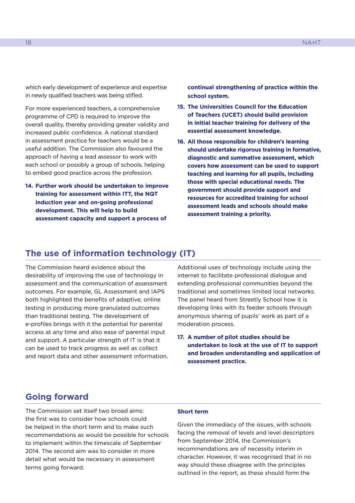For more experienced teachers, a comprehensive programme of CPD is required to improve the overall quality, thereby providing greater validity and increased public confidence. A national standard in assessment practice for teachers would be a useful addition. The Commission also favoured the approach of having a lead assessor to work with each school or possibly a group of schools, helping to embed good practice across the profession.

**14. Further work should be undertaken to improve training for assessment within ITT, the NQT induction year and on-going professional development. This will help to build assessment capacity and support a process of** 

**continual strengthening of practice within the school system.** 

- **15. The Universities Council for the Education of Teachers (UCET) should build provision in initial teacher training for delivery of the essential assessment knowledge.**
- **16. All those responsible for children's learning should undertake rigorous training in formative, diagnostic and summative assessment, which covers how assessment can be used to support teaching and learning for all pupils, including those with special educational needs. The government should provide support and resources for accredited training for school assessment leads and schools should make assessment training a priority.**

# **The use of information technology (IT)**

The Commission heard evidence about the desirability of improving the use of technology in assessment and the communication of assessment outcomes. For example, GL Assessment and IAPS both highlighted the benefits of adaptive, online testing in producing more granulated outcomes than traditional testing. The development of e-profiles brings with it the potential for parental access at any time and also ease of parental input and support. A particular strength of IT is that it can be used to track progress as well as collect and report data and other assessment information. Additional uses of technology include using the internet to facilitate professional dialogue and extending professional communities beyond the traditional and sometimes limited local networks. The panel heard from Streetly School how it is developing links with its feeder schools through anonymous sharing of pupils' work as part of a moderation process.

**17. A number of pilot studies should be undertaken to look at the use of IT to support and broaden understanding and application of assessment practice.** 

# **Going forward**

The Commission set itself two broad aims: the first was to consider how schools could be helped in the short term and to make such recommendations as would be possible for schools to implement within the timescale of September 2014. The second aim was to consider in more detail what would be necessary in assessment terms going forward.

#### **Short term**

Given the immediacy of the issues, with schools facing the removal of levels and level descriptors from September 2014, the Commission's recommendations are of necessity interim in character. However, it was recognised that in no way should these disagree with the principles outlined in the report, as these should form the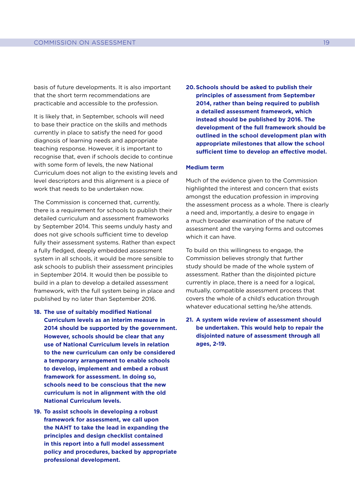basis of future developments. It is also important that the short term recommendations are practicable and accessible to the profession.

It is likely that, in September, schools will need to base their practice on the skills and methods currently in place to satisfy the need for good diagnosis of learning needs and appropriate teaching response. However, it is important to recognise that, even if schools decide to continue with some form of levels, the new National Curriculum does not align to the existing levels and level descriptors and this alignment is a piece of work that needs to be undertaken now.

The Commission is concerned that, currently, there is a requirement for schools to publish their detailed curriculum and assessment frameworks by September 2014. This seems unduly hasty and does not give schools sufficient time to develop fully their assessment systems. Rather than expect a fully fledged, deeply embedded assessment system in all schools, it would be more sensible to ask schools to publish their assessment principles in September 2014. It would then be possible to build in a plan to develop a detailed assessment framework, with the full system being in place and published by no later than September 2016.

- **18. The use of suitably modified National Curriculum levels as an interim measure in 2014 should be supported by the government. However, schools should be clear that any use of National Curriculum levels in relation to the new curriculum can only be considered a temporary arrangement to enable schools to develop, implement and embed a robust framework for assessment. In doing so, schools need to be conscious that the new curriculum is not in alignment with the old National Curriculum levels.**
- **19. To assist schools in developing a robust framework for assessment, we call upon the NAHT to take the lead in expanding the principles and design checklist contained in this report into a full model assessment policy and procedures, backed by appropriate professional development.**

**20. Schools should be asked to publish their principles of assessment from September 2014, rather than being required to publish a detailed assessment framework, which instead should be published by 2016. The development of the full framework should be outlined in the school development plan with appropriate milestones that allow the school sufficient time to develop an effective model.** 

#### **Medium term**

Much of the evidence given to the Commission highlighted the interest and concern that exists amongst the education profession in improving the assessment process as a whole. There is clearly a need and, importantly, a desire to engage in a much broader examination of the nature of assessment and the varying forms and outcomes which it can have.

To build on this willingness to engage, the Commission believes strongly that further study should be made of the whole system of assessment. Rather than the disjointed picture currently in place, there is a need for a logical, mutually, compatible assessment process that covers the whole of a child's education through whatever educational setting he/she attends.

**21. A system wide review of assessment should be undertaken. This would help to repair the disjointed nature of assessment through all ages, 2-19.**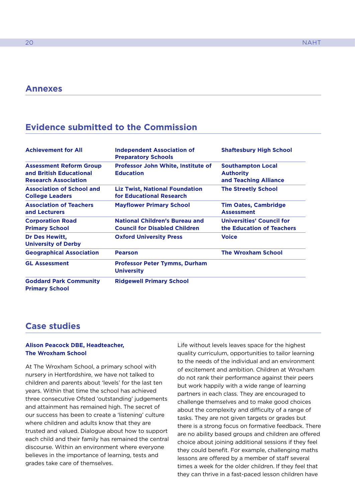# **Evidence submitted to the Commission**

| <b>Achievement for All</b>                                                               | <b>Independent Association of</b><br><b>Preparatory Schools</b>               | <b>Shaftesbury High School</b>                                        |
|------------------------------------------------------------------------------------------|-------------------------------------------------------------------------------|-----------------------------------------------------------------------|
| <b>Assessment Reform Group</b><br>and British Educational<br><b>Research Association</b> | <b>Professor John White, Institute of</b><br><b>Education</b>                 | <b>Southampton Local</b><br><b>Authority</b><br>and Teaching Alliance |
| <b>Association of School and</b><br><b>College Leaders</b>                               | <b>Liz Twist, National Foundation</b><br>for Educational Research             | <b>The Streetly School</b>                                            |
| <b>Association of Teachers</b><br>and Lecturers                                          | <b>Mayflower Primary School</b>                                               | <b>Tim Oates, Cambridge</b><br><b>Assessment</b>                      |
| <b>Corporation Road</b><br><b>Primary School</b>                                         | <b>National Children's Bureau and</b><br><b>Council for Disabled Children</b> | <b>Universities' Council for</b><br>the Education of Teachers         |
| Dr Des Hewitt,<br><b>University of Derby</b>                                             | <b>Oxford University Press</b>                                                | <b>Voice</b>                                                          |
| <b>Geographical Association</b>                                                          | <b>Pearson</b>                                                                | <b>The Wroxham School</b>                                             |
| <b>GL Assessment</b>                                                                     | <b>Professor Peter Tymms, Durham</b><br><b>University</b>                     |                                                                       |
| <b>Goddard Park Community</b><br><b>Primary School</b>                                   | <b>Ridgewell Primary School</b>                                               |                                                                       |

# **Case studies**

#### **Alison Peacock DBE, Headteacher, The Wroxham School**

At The Wroxham School, a primary school with nursery in Hertfordshire, we have not talked to children and parents about 'levels' for the last ten years. Within that time the school has achieved three consecutive Ofsted 'outstanding' judgements and attainment has remained high. The secret of our success has been to create a 'listening' culture where children and adults know that they are trusted and valued. Dialogue about how to support each child and their family has remained the central discourse. Within an environment where everyone believes in the importance of learning, tests and grades take care of themselves.

Life without levels leaves space for the highest quality curriculum, opportunities to tailor learning to the needs of the individual and an environment of excitement and ambition. Children at Wroxham do not rank their performance against their peers but work happily with a wide range of learning partners in each class. They are encouraged to challenge themselves and to make good choices about the complexity and difficulty of a range of tasks. They are not given targets or grades but there is a strong focus on formative feedback. There are no ability based groups and children are offered choice about joining additional sessions if they feel they could benefit. For example, challenging maths lessons are offered by a member of staff several times a week for the older children. If they feel that they can thrive in a fast-paced lesson children have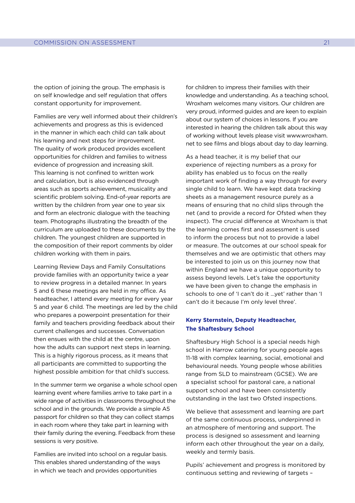the option of joining the group. The emphasis is on self knowledge and self regulation that offers constant opportunity for improvement.

Families are very well informed about their children's achievements and progress as this is evidenced in the manner in which each child can talk about his learning and next steps for improvement. The quality of work produced provides excellent opportunities for children and families to witness evidence of progression and increasing skill. This learning is not confined to written work and calculation, but is also evidenced through areas such as sports achievement, musicality and scientific problem solving. End-of-year reports are written by the children from year one to year six and form an electronic dialogue with the teaching team. Photographs illustrating the breadth of the curriculum are uploaded to these documents by the children. The youngest children are supported in the composition of their report comments by older children working with them in pairs.

Learning Review Days and Family Consultations provide families with an opportunity twice a year to review progress in a detailed manner. In years 5 and 6 these meetings are held in my office. As headteacher, I attend every meeting for every year 5 and year 6 child. The meetings are led by the child who prepares a powerpoint presentation for their family and teachers providing feedback about their current challenges and successes. Conversation then ensues with the child at the centre, upon how the adults can support next steps in learning. This is a highly rigorous process, as it means that all participants are committed to supporting the highest possible ambition for that child's success.

In the summer term we organise a whole school open learning event where families arrive to take part in a wide range of activities in classrooms throughout the school and in the grounds. We provide a simple A5 passport for children so that they can collect stamps in each room where they take part in learning with their family during the evening. Feedback from these sessions is very positive.

Families are invited into school on a regular basis. This enables shared understanding of the ways in which we teach and provides opportunities

for children to impress their families with their knowledge and understanding. As a teaching school, Wroxham welcomes many visitors. Our children are very proud, informed guides and are keen to explain about our system of choices in lessons. If you are interested in hearing the children talk about this way of working without levels please visit [www.wroxham.](http://www.wroxham.net) [net](http://www.wroxham.net) to see films and blogs about day to day learning.

As a head teacher, it is my belief that our experience of rejecting numbers as a proxy for ability has enabled us to focus on the really important work of finding a way through for every single child to learn. We have kept data tracking sheets as a management resource purely as a means of ensuring that no child slips through the net (and to provide a record for Ofsted when they inspect). The crucial difference at Wroxham is that the learning comes first and assessment is used to inform the process but not to provide a label or measure. The outcomes at our school speak for themselves and we are optimistic that others may be interested to join us on this journey now that within England we have a unique opportunity to assess beyond levels. Let's take the opportunity we have been given to change the emphasis in schools to one of 'I can't do it …yet' rather than 'I can't do it because I'm only level three'.

### **Kerry Sternstein, Deputy Headteacher, The Shaftesbury School**

Shaftesbury High School is a special needs high school in Harrow catering for young people ages 11-18 with complex learning, social, emotional and behavioural needs. Young people whose abilities range from SLD to mainstream (GCSE). We are a specialist school for pastoral care, a national support school and have been consistently outstanding in the last two Ofsted inspections.

We believe that assessment and learning are part of the same continuous process, underpinned in an atmosphere of mentoring and support. The process is designed so assessment and learning inform each other throughout the year on a daily, weekly and termly basis.

Pupils' achievement and progress is monitored by continuous setting and reviewing of targets –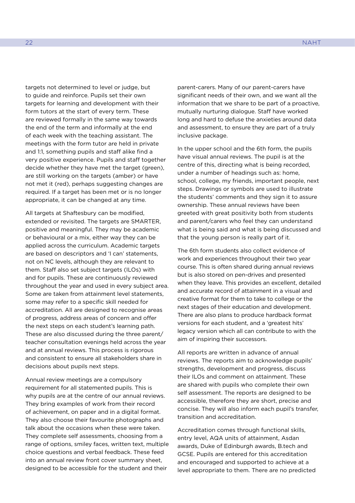targets not determined to level or judge, but to guide and reinforce. Pupils set their own targets for learning and development with their form tutors at the start of every term. These are reviewed formally in the same way towards the end of the term and informally at the end of each week with the teaching assistant. The meetings with the form tutor are held in private and 1:1, something pupils and staff alike find a very positive experience. Pupils and staff together decide whether they have met the target (green). are still working on the targets (amber) or have not met it (red), perhaps suggesting changes are required. If a target has been met or is no longer appropriate, it can be changed at any time.

All targets at Shaftesbury can be modified, extended or revisited. The targets are SMARTER, positive and meaningful. They may be academic or behavioural or a mix, either way they can be applied across the curriculum. Academic targets are based on descriptors and 'I can' statements, not on NC levels, although they are relevant to them. Staff also set subject targets (ILOs) with and for pupils. These are continuously reviewed throughout the year and used in every subject area. Some are taken from attainment level statements, some may refer to a specific skill needed for accreditation. All are designed to recognise areas of progress, address areas of concern and offer the next steps on each student's learning path. These are also discussed during the three parent/ teacher consultation evenings held across the year and at annual reviews. This process is rigorous and consistent to ensure all stakeholders share in decisions about pupils next steps.

Annual review meetings are a compulsory requirement for all statemented pupils. This is why pupils are at the centre of our annual reviews. They bring examples of work from their record of achievement, on paper and in a digital format. They also choose their favourite photographs and talk about the occasions when these were taken. They complete self assessments, choosing from a range of options, smiley faces, written text, multiple choice questions and verbal feedback. These feed into an annual review front cover summary sheet, designed to be accessible for the student and their

parent-carers. Many of our parent-carers have significant needs of their own, and we want all the information that we share to be part of a proactive, mutually nurturing dialogue. Staff have worked long and hard to defuse the anxieties around data and assessment, to ensure they are part of a truly inclusive package.

In the upper school and the 6th form, the pupils have visual annual reviews. The pupil is at the centre of this, directing what is being recorded, under a number of headings such as: home, school, college, my friends, important people, next steps. Drawings or symbols are used to illustrate the students' comments and they sign it to assure ownership. These annual reviews have been greeted with great positivity both from students and parent/carers who feel they can understand what is being said and what is being discussed and that the young person is really part of it.

The 6th form students also collect evidence of work and experiences throughout their two year course. This is often shared during annual reviews but is also stored on pen-drives and presented when they leave. This provides an excellent, detailed and accurate record of attainment in a visual and creative format for them to take to college or the next stages of their education and development. There are also plans to produce hardback format versions for each student, and a 'greatest hits' legacy version which all can contribute to with the aim of inspiring their successors.

All reports are written in advance of annual reviews. The reports aim to acknowledge pupils' strengths, development and progress, discuss their ILOs and comment on attainment. These are shared with pupils who complete their own self assessment. The reports are designed to be accessible, therefore they are short, precise and concise. They will also inform each pupil's transfer, transition and accreditation.

Accreditation comes through functional skills, entry level, AQA units of attainment, Asdan awards, Duke of Edinburgh awards, B.tech and GCSE. Pupils are entered for this accreditation and encouraged and supported to achieve at a level appropriate to them. There are no predicted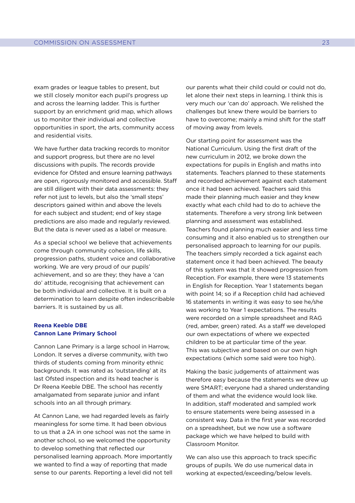exam grades or league tables to present, but we still closely monitor each pupil's progress up and across the learning ladder. This is further support by an enrichment grid map, which allows us to monitor their individual and collective opportunities in sport, the arts, community access and residential visits.

We have further data tracking records to monitor and support progress, but there are no level discussions with pupils. The records provide evidence for Ofsted and ensure learning pathways are open, rigorously monitored and accessible. Staff are still diligent with their data assessments: they refer not just to levels, but also the 'small steps' descriptors gained within and above the levels for each subject and student; end of key stage predictions are also made and regularly reviewed. But the data is never used as a label or measure.

As a special school we believe that achievements come through community cohesion, life skills, progression paths, student voice and collaborative working. We are very proud of our pupils' achievement, and so are they; they have a 'can do' attitude, recognising that achievement can be both individual and collective. It is built on a determination to learn despite often indescribable barriers. It is sustained by us all.

### **Reena Keeble DBE Cannon Lane Primary School**

Cannon Lane Primary is a large school in Harrow, London. It serves a diverse community, with two thirds of students coming from minority ethnic backgrounds. It was rated as 'outstanding' at its last Ofsted inspection and its head teacher is Dr Reena Keeble DBE. The school has recently amalgamated from separate junior and infant schools into an all through primary.

At Cannon Lane, we had regarded levels as fairly meaningless for some time. It had been obvious to us that a 2A in one school was not the same in another school, so we welcomed the opportunity to develop something that reflected our personalised learning approach. More importantly we wanted to find a way of reporting that made sense to our parents. Reporting a level did not tell our parents what their child could or could not do, let alone their next steps in learning. I think this is very much our 'can do' approach. We relished the challenges but knew there would be barriers to have to overcome; mainly a mind shift for the staff of moving away from levels.

Our starting point for assessment was the National Curriculum. Using the first draft of the new curriculum in 2012, we broke down the expectations for pupils in English and maths into statements. Teachers planned to these statements and recorded achievement against each statement once it had been achieved. Teachers said this made their planning much easier and they knew exactly what each child had to do to achieve the statements. Therefore a very strong link between planning and assessment was established. Teachers found planning much easier and less time consuming and it also enabled us to strengthen our personalised approach to learning for our pupils. The teachers simply recorded a tick against each statement once it had been achieved. The beauty of this system was that it showed progression from Reception. For example, there were 13 statements in English for Reception. Year 1 statements began with point 14; so if a Reception child had achieved 16 statements in writing it was easy to see he/she was working to Year 1 expectations. The results were recorded on a simple spreadsheet and RAG (red, amber, green) rated. As a staff we developed our own expectations of where we expected children to be at particular time of the year. This was subjective and based on our own high expectations (which some said were too high).

Making the basic judgements of attainment was therefore easy because the statements we drew up were SMART; everyone had a shared understanding of them and what the evidence would look like. In addition, staff moderated and sampled work to ensure statements were being assessed in a consistent way. Data in the first year was recorded on a spreadsheet, but we now use a software package which we have helped to build with Classroom Monitor.

We can also use this approach to track specific groups of pupils. We do use numerical data in working at expected/exceeding/below levels.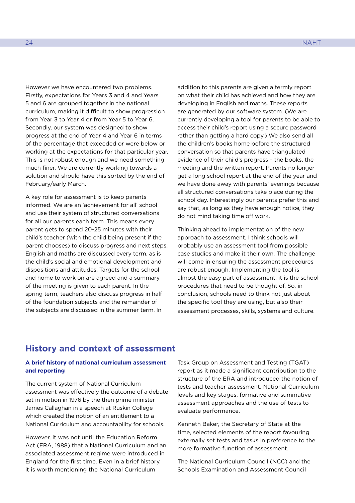However we have encountered two problems. Firstly, expectations for Years 3 and 4 and Years 5 and 6 are grouped together in the national curriculum, making it difficult to show progression from Year 3 to Year 4 or from Year 5 to Year 6. Secondly, our system was designed to show progress at the end of Year 4 and Year 6 in terms of the percentage that exceeded or were below or working at the expectations for that particular year. This is not robust enough and we need something much finer. We are currently working towards a solution and should have this sorted by the end of February/early March.

A key role for assessment is to keep parents informed. We are an 'achievement for all' school and use their system of structured conversations for all our parents each term. This means every parent gets to spend 20-25 minutes with their child's teacher (with the child being present if the parent chooses) to discuss progress and next steps. English and maths are discussed every term, as is the child's social and emotional development and dispositions and attitudes. Targets for the school and home to work on are agreed and a summary of the meeting is given to each parent. In the spring term, teachers also discuss progress in half of the foundation subjects and the remainder of the subjects are discussed in the summer term. In

addition to this parents are given a termly report on what their child has achieved and how they are developing in English and maths. These reports are generated by our software system. (We are currently developing a tool for parents to be able to access their child's report using a secure password rather than getting a hard copy.) We also send all the children's books home before the structured conversation so that parents have triangulated evidence of their child's progress – the books, the meeting and the written report. Parents no longer get a long school report at the end of the year and we have done away with parents' evenings because all structured conversations take place during the school day. Interestingly our parents prefer this and say that, as long as they have enough notice, they do not mind taking time off work.

Thinking ahead to implementation of the new approach to assessment, I think schools will probably use an assessment tool from possible case studies and make it their own. The challenge will come in ensuring the assessment procedures are robust enough. Implementing the tool is almost the easy part of assessment; it is the school procedures that need to be thought of. So, in conclusion, schools need to think not just about the specific tool they are using, but also their assessment processes, skills, systems and culture.

# **History and context of assessment**

### **A brief history of national curriculum assessment and reporting**

The current system of National Curriculum assessment was effectively the outcome of a debate set in motion in 1976 by the then prime minister James Callaghan in a speech at Ruskin College which created the notion of an entitlement to a National Curriculum and accountability for schools.

However, it was not until the Education Reform Act (ERA, 1988) that a National Curriculum and an associated assessment regime were introduced in England for the first time. Even in a brief history, it is worth mentioning the National Curriculum

Task Group on Assessment and Testing (TGAT) report as it made a significant contribution to the structure of the ERA and introduced the notion of tests and teacher assessment, National Curriculum levels and key stages, formative and summative assessment approaches and the use of tests to evaluate performance.

Kenneth Baker, the Secretary of State at the time, selected elements of the report favouring externally set tests and tasks in preference to the more formative function of assessment.

The National Curriculum Council (NCC) and the Schools Examination and Assessment Council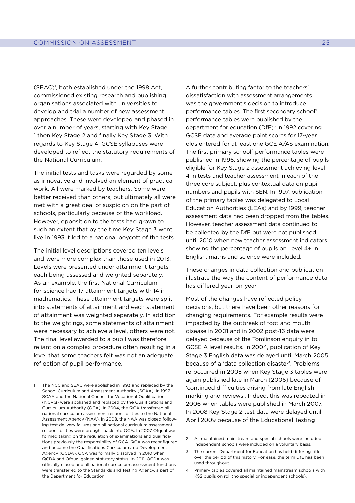(SEAC)1 , both established under the 1998 Act, commissioned existing research and publishing organisations associated with universities to develop and trial a number of new assessment approaches. These were developed and phased in over a number of years, starting with Key Stage 1 then Key Stage 2 and finally Key Stage 3. With regards to Key Stage 4, GCSE syllabuses were developed to reflect the statutory requirements of the National Curriculum.

The initial tests and tasks were regarded by some as innovative and involved an element of practical work. All were marked by teachers. Some were better received than others, but ultimately all were met with a great deal of suspicion on the part of schools, particularly because of the workload. However, opposition to the tests had grown to such an extent that by the time Key Stage 3 went live in 1993 it led to a national boycott of the tests.

The initial level descriptions covered ten levels and were more complex than those used in 2013. Levels were presented under attainment targets each being assessed and weighted separately. As an example, the first National Curriculum for science had 17 attainment targets with 14 in mathematics. These attainment targets were split into statements of attainment and each statement of attainment was weighted separately. In addition to the weightings, some statements of attainment were necessary to achieve a level, others were not. The final level awarded to a pupil was therefore reliant on a complex procedure often resulting in a level that some teachers felt was not an adequate reflection of pupil performance.

The NCC and SEAC were abolished in 1993 and replaced by the School Curriculum and Assessment Authority (SCAA). In 1997, SCAA and the National Council for Vocational Qualifications (NCVQ) were abolished and replaced by the Qualifications and Curriculum Authority (QCA). In 2004, the QCA transferred all national curriculum assessment responsibilities to the National Assessment Agency (NAA). In 2008, the NAA was closed following test delivery failures and all national curriculum assessment responsibilities were brought back into QCA. In 2007 Ofqual was formed taking on the regulation of examinations and qualifications previously the responsibility of QCA. QCA was reconfigured and became the Qualifications Curriculum and Development Agency (QCDA). QCA was formally dissolved in 2010 when QCDA and Ofqual gained statutory status. In 2011, QCDA was officially closed and all national curriculum assessment functions were transferred to the Standards and Testing Agency, a part of the Department for Education.

A further contributing factor to the teachers' dissatisfaction with assessment arrangements was the government's decision to introduce performance tables. The first secondary school2 performance tables were published by the department for education ( $DFE$ )<sup>3</sup> in 1992 covering GCSE data and average point scores for 17-year olds entered for at least one GCE A/AS examination. The first primary school<sup>4</sup> performance tables were published in 1996, showing the percentage of pupils eligible for Key Stage 2 assessment achieving level 4 in tests and teacher assessment in each of the three core subject, plus contextual data on pupil numbers and pupils with SEN. In 1997, publication of the primary tables was delegated to Local Education Authorities (LEAs) and by 1999, teacher assessment data had been dropped from the tables. However, teacher assessment data continued to be collected by the DfE but were not published until 2010 when new teacher assessment indicators showing the percentage of pupils on Level 4+ in English, maths and science were included.

These changes in data collection and publication illustrate the way the content of performance data has differed year-on-year.

Most of the changes have reflected policy decisions, but there have been other reasons for changing requirements. For example results were impacted by the outbreak of foot and mouth disease in 2001 and in 2002 post-16 data were delayed because of the Tomlinson enquiry in to GCSE A level results. In 2004, publication of Key Stage 3 English data was delayed until March 2005 because of a 'data collection disaster'. Problems re-occurred in 2005 when Key Stage 3 tables were again published late in March (2006) because of 'continued difficulties arising from late English marking and reviews'. Indeed, this was repeated in 2006 when tables were published in March 2007. In 2008 Key Stage 2 test data were delayed until April 2009 because of the Educational Testing

- 2 All maintained mainstream and special schools were included. Independent schools were included on a voluntary basis.
- 3 The current Department for Education has held differing titles over the period of this history. For ease, the term DfE has been used throughout.
- 4 Primary tables covered all maintained mainstream schools with KS2 pupils on roll (no special or independent schools).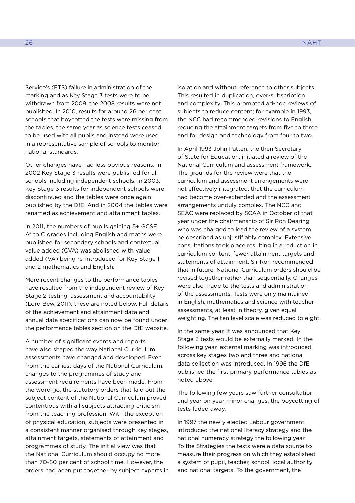Service's (ETS) failure in administration of the marking and as Key Stage 3 tests were to be withdrawn from 2009, the 2008 results were not published. In 2010, results for around 26 per cent schools that boycotted the tests were missing from the tables, the same year as science tests ceased to be used with all pupils and instead were used in a representative sample of schools to monitor national standards.

Other changes have had less obvious reasons. In 2002 Key Stage 3 results were published for all schools including independent schools. In 2003, Key Stage 3 results for independent schools were discontinued and the tables were once again published by the DfE. And in 2004 the tables were renamed as achievement and attainment tables.

In 2011, the numbers of pupils gaining 5+ GCSE A\* to C grades including English and maths were published for secondary schools and contextual value added (CVA) was abolished with value added (VA) being re-introduced for Key Stage 1 and 2 mathematics and English.

More recent changes to the performance tables have resulted from the independent review of Key Stage 2 testing, assessment and accountability (Lord Bew, 2011): these are noted below. Full details of the achievement and attainment data and annual data specifications can now be found under the performance tables section on the DfE website.

A number of significant events and reports have also shaped the way National Curriculum assessments have changed and developed. Even from the earliest days of the National Curriculum, changes to the programmes of study and assessment requirements have been made. From the word go, the statutory orders that laid out the subject content of the National Curriculum proved contentious with all subjects attracting criticism from the teaching profession. With the exception of physical education, subjects were presented in a consistent manner organised through key stages, attainment targets, statements of attainment and programmes of study. The initial view was that the National Curriculum should occupy no more than 70-80 per cent of school time. However, the orders had been put together by subject experts in isolation and without reference to other subjects. This resulted in duplication, over-subscription and complexity. This prompted ad-hoc reviews of subjects to reduce content; for example in 1993, the NCC had recommended revisions to English reducing the attainment targets from five to three and for design and technology from four to two.

In April 1993 John Patten, the then Secretary of State for Education, initiated a review of the National Curriculum and assessment framework. The grounds for the review were that the curriculum and assessment arrangements were not effectively integrated, that the curriculum had become over-extended and the assessment arrangements unduly complex. The NCC and SEAC were replaced by SCAA in October of that year under the chairmanship of Sir Ron Dearing who was charged to lead the review of a system he described as unjustifiably complex. Extensive consultations took place resulting in a reduction in curriculum content, fewer attainment targets and statements of attainment. Sir Ron recommended that in future, National Curriculum orders should be revised together rather than sequentially. Changes were also made to the tests and administration of the assessments. Tests were only maintained in English, mathematics and science with teacher assessments, at least in theory, given equal weighting. The ten level scale was reduced to eight.

In the same year, it was announced that Key Stage 3 tests would be externally marked. In the following year, external marking was introduced across key stages two and three and national data collection was introduced. In 1996 the DfE published the first primary performance tables as noted above.

The following few years saw further consultation and year on year minor changes: the boycotting of tests faded away.

In 1997 the newly elected Labour government introduced the national literacy strategy and the national numeracy strategy the following year. To the Strategies the tests were a data source to measure their progress on which they established a system of pupil, teacher, school, local authority and national targets. To the government, the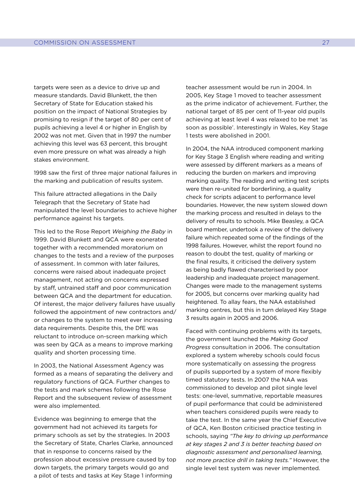targets were seen as a device to drive up and measure standards. David Blunkett, the then Secretary of State for Education staked his position on the impact of National Strategies by promising to resign if the target of 80 per cent of pupils achieving a level 4 or higher in English by 2002 was not met. Given that in 1997 the number achieving this level was 63 percent, this brought even more pressure on what was already a high stakes environment.

1998 saw the first of three major national failures in the marking and publication of results system.

This failure attracted allegations in the Daily Telegraph that the Secretary of State had manipulated the level boundaries to achieve higher performance against his targets.

This led to the Rose Report *Weighing the Baby* in 1999. David Blunkett and QCA were exonerated together with a recommended moratorium on changes to the tests and a review of the purposes of assessment. In common with later failures, concerns were raised about inadequate project management, not acting on concerns expressed by staff, untrained staff and poor communication between QCA and the department for education. Of interest, the major delivery failures have usually followed the appointment of new contractors and/ or changes to the system to meet ever increasing data requirements. Despite this, the DfE was reluctant to introduce on-screen marking which was seen by QCA as a means to improve marking quality and shorten processing time.

In 2003, the National Assessment Agency was formed as a means of separating the delivery and regulatory functions of QCA. Further changes to the tests and mark schemes following the Rose Report and the subsequent review of assessment were also implemented.

Evidence was beginning to emerge that the government had not achieved its targets for primary schools as set by the strategies. In 2003 the Secretary of State, Charles Clarke, announced that in response to concerns raised by the profession about excessive pressure caused by top down targets, the primary targets would go and a pilot of tests and tasks at Key Stage 1 informing

teacher assessment would be run in 2004. In 2005, Key Stage 1 moved to teacher assessment as the prime indicator of achievement. Further, the national target of 85 per cent of 11-year old pupils achieving at least level 4 was relaxed to be met 'as soon as possible'. Interestingly in Wales, Key Stage 1 tests were abolished in 2001.

In 2004, the NAA introduced component marking for Key Stage 3 English where reading and writing were assessed by different markers as a means of reducing the burden on markers and improving marking quality. The reading and writing test scripts were then re-united for borderlining, a quality check for scripts adjacent to performance level boundaries. However, the new system slowed down the marking process and resulted in delays to the delivery of results to schools. Mike Beasley, a QCA board member, undertook a review of the delivery failure which repeated some of the findings of the 1998 failures. However, whilst the report found no reason to doubt the test, quality of marking or the final results, it criticised the delivery system as being badly flawed characterised by poor leadership and inadequate project management. Changes were made to the management systems for 2005, but concerns over marking quality had heightened. To allay fears, the NAA established marking centres, but this in turn delayed Key Stage 3 results again in 2005 and 2006.

Faced with continuing problems with its targets, the government launched the *Making Good Progress* consultation in 2006. The consultation explored a system whereby schools could focus more systematically on assessing the progress of pupils supported by a system of more flexibly timed statutory tests. In 2007 the NAA was commissioned to develop and pilot single level tests: one-level, summative, reportable measures of pupil performance that could be administered when teachers considered pupils were ready to take the test. In the same year the Chief Executive of QCA, Ken Boston criticised practice testing in schools, saying *"The key to driving up performance at key stages 2 and 3 is better teaching based on diagnostic assessment and personalised learning, not more practice drill in taking tests."* However, the single level test system was never implemented.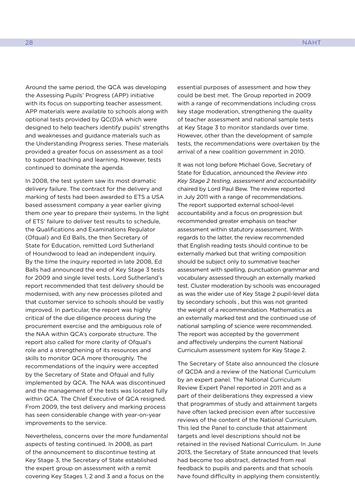Around the same period, the QCA was developing the Assessing Pupils' Progress (APP) initiative with its focus on supporting teacher assessment. APP materials were available to schools along with optional tests provided by QC(D)A which were designed to help teachers identify pupils' strengths and weaknesses and guidance materials such as the Understanding Progress series. These materials provided a greater focus on assessment as a tool to support teaching and learning. However, tests continued to dominate the agenda.

In 2008, the test system saw its most dramatic delivery failure. The contract for the delivery and marking of tests had been awarded to ETS a USA based assessment company a year earlier giving them one year to prepare their systems. In the light of ETS' failure to deliver test results to schedule, the Qualifications and Examinations Regulator (Ofqual) and Ed Balls, the then Secretary of State for Education, remitted Lord Sutherland of Houndwood to lead an independent inquiry. By the time the inquiry reported in late 2008, Ed Balls had announced the end of Key Stage 3 tests for 2009 and single level tests. Lord Sutherland's report recommended that test delivery should be modernised, with any new processes piloted and that customer service to schools should be vastly improved. In particular, the report was highly critical of the due diligence process during the procurement exercise and the ambiguous role of the NAA within QCA's corporate structure. The report also called for more clarity of Ofqual's role and a strengthening of its resources and skills to monitor QCA more thoroughly. The recommendations of the inquiry were accepted by the Secretary of State and Ofqual and fully implemented by QCA. The NAA was discontinued and the management of the tests was located fully within QCA. The Chief Executive of QCA resigned. From 2009, the test delivery and marking process has seen considerable change with year-on-year improvements to the service.

Nevertheless, concerns over the more fundamental aspects of testing continued. In 2008, as part of the announcement to discontinue testing at Key Stage 3, the Secretary of State established the expert group on assessment with a remit covering Key Stages 1, 2 and 3 and a focus on the

essential purposes of assessment and how they could be best met. The Group reported in 2009 with a range of recommendations including cross key stage moderation, strengthening the quality of teacher assessment and national sample tests at Key Stage 3 to monitor standards over time. However, other than the development of sample tests, the recommendations were overtaken by the arrival of a new coalition government in 2010.

It was not long before Michael Gove, Secretary of State for Education, announced the *Review into Key Stage 2 testing, assessment and accountability*  chaired by Lord Paul Bew. The review reported in July 2011 with a range of recommendations. The report supported external school-level accountability and a focus on progression but recommended greater emphasis on teacher assessment within statutory assessment. With regards to the latter, the review recommended that English reading tests should continue to be externally marked but that writing composition should be subject only to summative teacher assessment with spelling, punctuation grammar and vocabulary assessed through an externally marked test. Cluster moderation by schools was encouraged as was the wider use of Key Stage 2 pupil-level data by secondary schools , but this was not granted the weight of a recommendation. Mathematics as an externally marked test and the continued use of national sampling of science were recommended. The report was accepted by the government and affectively underpins the current National Curriculum assessment system for Key Stage 2.

The Secretary of State also announced the closure of QCDA and a review of the National Curriculum by an expert panel. The National Curriculum Review Expert Panel reported in 2011 and as a part of their deliberations they expressed a view that programmes of study and attainment targets have often lacked precision even after successive reviews of the content of the National Curriculum. This led the Panel to conclude that attainment targets and level descriptions should not be retained in the revised National Curriculum. In June 2013, the Secretary of State announced that levels had become too abstract, detracted from real feedback to pupils and parents and that schools have found difficulty in applying them consistently.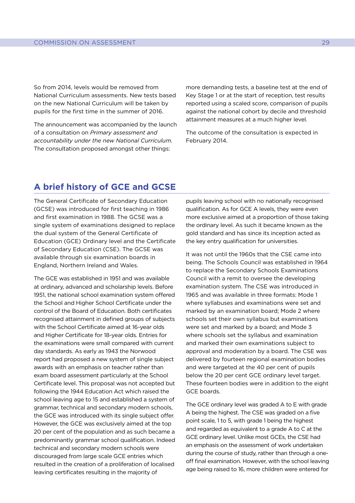So from 2014, levels would be removed from National Curriculum assessments. New tests based on the new National Curriculum will be taken by pupils for the first time in the summer of 2016.

The announcement was accompanied by the launch of a consultation on *Primary assessment and accountability under the new National Curriculum.* The consultation proposed amongst other things:

more demanding tests, a baseline test at the end of Key Stage 1 or at the start of reception, test results reported using a scaled score, comparison of pupils against the national cohort by decile and threshold attainment measures at a much higher level.

The outcome of the consultation is expected in February 2014.

# **A brief history of GCE and GCSE**

The General Certificate of Secondary Education (GCSE) was introduced for first teaching in 1986 and first examination in 1988. The GCSE was a single system of examinations designed to replace the dual system of the General Certificate of Education (GCE) Ordinary level and the Certificate of Secondary Education (CSE). The GCSE was available through six examination boards in England, Northern Ireland and Wales.

The GCE was established in 1951 and was available at ordinary, advanced and scholarship levels. Before 1951, the national school examination system offered the School and Higher School Certificate under the control of the Board of Education. Both certificates recognised attainment in defined groups of subjects with the School Certificate aimed at 16-year olds and Higher Certificate for 18-year olds. Entries for the examinations were small compared with current day standards. As early as 1943 the Norwood report had proposed a new system of single subject awards with an emphasis on teacher rather than exam board assessment particularly at the School Certificate level. This proposal was not accepted but following the 1944 Education Act which raised the school leaving age to 15 and established a system of grammar, technical and secondary modern schools, the GCE was introduced with its single subject offer. However, the GCE was exclusively aimed at the top 20 per cent of the population and as such became a predominantly grammar school qualification. Indeed technical and secondary modern schools were discouraged from large scale GCE entries which resulted in the creation of a proliferation of localised leaving certificates resulting in the majority of

pupils leaving school with no nationally recognised qualification. As for GCE A levels, they were even more exclusive aimed at a proportion of those taking the ordinary level. As such it became known as the gold standard and has since its inception acted as the key entry qualification for universities.

It was not until the 1960s that the CSE came into being. The Schools Council was established in 1964 to replace the Secondary Schools Examinations Council with a remit to oversee the developing examination system. The CSE was introduced in 1965 and was available in three formats: Mode 1 where syllabuses and examinations were set and marked by an examination board; Mode 2 where schools set their own syllabus but examinations were set and marked by a board; and Mode 3 where schools set the syllabus and examination and marked their own examinations subject to approval and moderation by a board. The CSE was delivered by fourteen regional examination bodies and were targeted at the 40 per cent of pupils below the 20 per cent GCE ordinary level target. These fourteen bodies were in addition to the eight GCE boards.

The GCE ordinary level was graded A to E with grade A being the highest. The CSE was graded on a five point scale, 1 to 5, with grade 1 being the highest and regarded as equivalent to a grade A to C at the GCE ordinary level. Unlike most GCEs, the CSE had an emphasis on the assessment of work undertaken during the course of study, rather than through a oneoff final examination. However, with the school leaving age being raised to 16, more children were entered for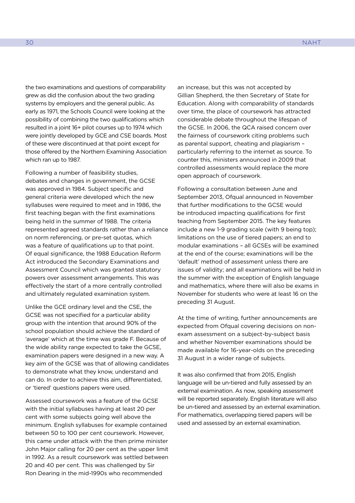the two examinations and questions of comparability grew as did the confusion about the two grading systems by employers and the general public. As early as 1971, the Schools Council were looking at the possibility of combining the two qualifications which resulted in a joint 16+ pilot courses up to 1974 which were jointly developed by GCE and CSE boards. Most of these were discontinued at that point except for those offered by the Northern Examining Association which ran up to 1987.

Following a number of feasibility studies, debates and changes in government, the GCSE was approved in 1984. Subject specific and general criteria were developed which the new syllabuses were required to meet and in 1986, the first teaching began with the first examinations being held in the summer of 1988. The criteria represented agreed standards rather than a reliance on norm referencing, or pre-set quotas, which was a feature of qualifications up to that point. Of equal significance, the 1988 Education Reform Act introduced the Secondary Examinations and Assessment Council which was granted statutory powers over assessment arrangements. This was effectively the start of a more centrally controlled and ultimately regulated examination system.

Unlike the GCE ordinary level and the CSE, the GCSE was not specified for a particular ability group with the intention that around 90% of the school population should achieve the standard of 'average' which at the time was grade F. Because of the wide ability range expected to take the GCSE, examination papers were designed in a new way. A key aim of the GCSE was that of allowing candidates to demonstrate what they know, understand and can do. In order to achieve this aim, differentiated, or 'tiered' questions papers were used.

Assessed coursework was a feature of the GCSE with the initial syllabuses having at least 20 per cent with some subjects going well above the minimum. English syllabuses for example contained between 50 to 100 per cent coursework. However, this came under attack with the then prime minister John Major calling for 20 per cent as the upper limit in 1992. As a result coursework was settled between 20 and 40 per cent. This was challenged by Sir Ron Dearing in the mid-1990s who recommended

an increase, but this was not accepted by Gillian Shepherd, the then Secretary of State for Education. Along with comparability of standards over time, the place of coursework has attracted considerable debate throughout the lifespan of the GCSE. In 2006, the QCA raised concern over the fairness of coursework citing problems such as parental support, cheating and plagiarism – particularly referring to the internet as source. To counter this, ministers announced in 2009 that controlled assessments would replace the more open approach of coursework.

Following a consultation between June and September 2013, Ofqual announced in November that further modifications to the GCSE would be introduced impacting qualifications for first teaching from September 2015. The key features include a new 1-9 grading scale (with 9 being top); limitations on the use of tiered papers; an end to modular examinations – all GCSEs will be examined at the end of the course; examinations will be the 'default' method of assessment unless there are issues of validity; and all examinations will be held in the summer with the exception of English language and mathematics, where there will also be exams in November for students who were at least 16 on the preceding 31 August.

At the time of writing, further announcements are expected from Ofqual covering decisions on nonexam assessment on a subject-by-subject basis and whether November examinations should be made available for 16-year-olds on the preceding 31 August in a wider range of subjects.

It was also confirmed that from 2015, English language will be un-tiered and fully assessed by an external examination. As now, speaking assessment will be reported separately. English literature will also be un-tiered and assessed by an external examination. For mathematics, overlapping tiered papers will be used and assessed by an external examination.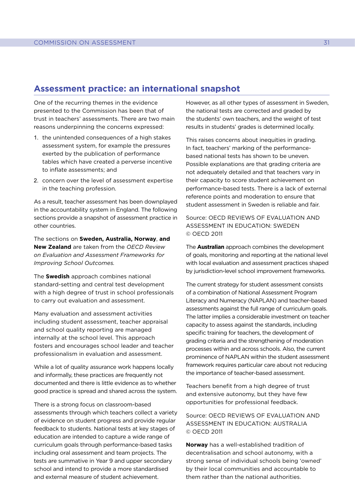# **Assessment practice: an international snapshot**

One of the recurring themes in the evidence presented to the Commission has been that of trust in teachers' assessments. There are two main reasons underpinning the concerns expressed:

- 1. the unintended consequences of a high stakes assessment system, for example the pressures exerted by the publication of performance tables which have created a perverse incentive to inflate assessments; and
- 2. concern over the level of assessment expertise in the teaching profession.

As a result, teacher assessment has been downplayed in the accountability system in England. The following sections provide a snapshot of assessment practice in other countries.

The sections on **Sweden, Australia, Norway**, **and New Zealand** are taken from the *OECD Review on Evaluation and Assessment Frameworks for Improving School Outcomes.*

The **Swedish** approach combines national standard-setting and central test development with a high degree of trust in school professionals to carry out evaluation and assessment.

Many evaluation and assessment activities including student assessment, teacher appraisal and school quality reporting are managed internally at the school level. This approach fosters and encourages school leader and teacher professionalism in evaluation and assessment.

While a lot of quality assurance work happens locally and informally, these practices are frequently not documented and there is little evidence as to whether good practice is spread and shared across the system.

There is a strong focus on classroom-based assessments through which teachers collect a variety of evidence on student progress and provide regular feedback to students. National tests at key stages of education are intended to capture a wide range of curriculum goals through performance-based tasks including oral assessment and team projects. The tests are summative in Year 9 and upper secondary school and intend to provide a more standardised and external measure of student achievement.

However, as all other types of assessment in Sweden, the national tests are corrected and graded by the students' own teachers, and the weight of test results in students' grades is determined locally.

This raises concerns about inequities in grading. In fact, teachers' marking of the performancebased national tests has shown to be uneven. Possible explanations are that grading criteria are not adequately detailed and that teachers vary in their capacity to score student achievement on performance-based tests. There is a lack of external reference points and moderation to ensure that student assessment in Sweden is reliable and fair.

Source: OECD REVIEWS OF EVALUATION AND ASSESSMENT IN EDUCATION: SWEDEN © OECD 2011

The **Australian** approach combines the development of goals, monitoring and reporting at the national level with local evaluation and assessment practices shaped by jurisdiction-level school improvement frameworks.

The current strategy for student assessment consists of a combination of National Assessment Program Literacy and Numeracy (NAPLAN) and teacher-based assessments against the full range of curriculum goals. The latter implies a considerable investment on teacher capacity to assess against the standards, including specific training for teachers, the development of grading criteria and the strengthening of moderation processes within and across schools. Also, the current prominence of NAPLAN within the student assessment framework requires particular care about not reducing the importance of teacher-based assessment.

Teachers benefit from a high degree of trust and extensive autonomy, but they have few opportunities for professional feedback.

Source: OECD REVIEWS OF EVALUATION AND ASSESSMENT IN EDUCATION: AUSTRALIA © OECD 2011

**Norway** has a well-established tradition of decentralisation and school autonomy, with a strong sense of individual schools being 'owned' by their local communities and accountable to them rather than the national authorities.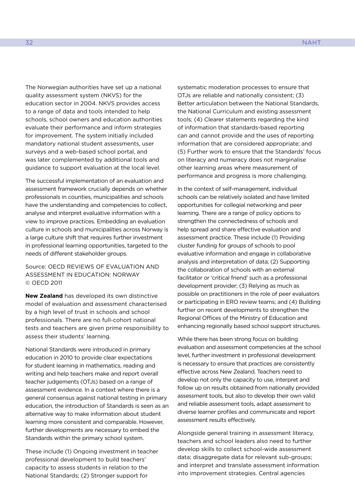The Norwegian authorities have set up a national quality assessment system (NKVS) for the education sector in 2004. NKVS provides access to a range of data and tools intended to help schools, school owners and education authorities evaluate their performance and inform strategies for improvement. The system initially included mandatory national student assessments, user surveys and a web-based school portal, and was later complemented by additional tools and guidance to support evaluation at the local level.

The successful implementation of an evaluation and assessment framework crucially depends on whether professionals in counties, municipalities and schools have the understanding and competencies to collect, analyse and interpret evaluative information with a view to improve practices. Embedding an evaluation culture in schools and municipalities across Norway is a large culture shift that requires further investment in professional learning opportunities, targeted to the needs of different stakeholder groups.

Source: OECD REVIEWS OF EVALUATION AND ASSESSMENT IN EDUCATION: NORWAY © OECD 2011

**New Zealand** has developed its own distinctive model of evaluation and assessment characterised by a high level of trust in schools and school professionals. There are no full-cohort national tests and teachers are given prime responsibility to assess their students' learning.

National Standards were introduced in primary education in 2010 to provide clear expectations for student learning in mathematics, reading and writing and help teachers make and report overall teacher judgements (OTJs) based on a range of assessment evidence. In a context where there is a general consensus against national testing in primary education, the introduction of Standards is seen as an alternative way to make information about student learning more consistent and comparable. However, further developments are necessary to embed the Standards within the primary school system.

These include (1) Ongoing investment in teacher professional development to build teachers' capacity to assess students in relation to the National Standards; (2) Stronger support for

systematic moderation processes to ensure that OTJs are reliable and nationally consistent; (3) Better articulation between the National Standards, the National Curriculum and existing assessment tools; (4) Clearer statements regarding the kind of information that standards-based reporting can and cannot provide and the uses of reporting information that are considered appropriate; and (5) Further work to ensure that the Standards' focus on literacy and numeracy does not marginalise other learning areas where measurement of performance and progress is more challenging.

In the context of self-management, individual schools can be relatively isolated and have limited opportunities for collegial networking and peer learning. There are a range of policy options to strengthen the connectedness of schools and help spread and share effective evaluation and assessment practice. These include (1) Providing cluster funding for groups of schools to pool evaluative information and engage in collaborative analysis and interpretation of data; (2) Supporting the collaboration of schools with an external facilitator or 'critical friend' such as a professional development provider; (3) Relying as much as possible on practitioners in the role of peer evaluators or participating in ERO review teams; and (4) Building further on recent developments to strengthen the Regional Offices of the Ministry of Education and enhancing regionally based school support structures.

While there has been strong focus on building evaluation and assessment competencies at the school level, further investment in professional development is necessary to ensure that practices are consistently effective across New Zealand. Teachers need to develop not only the capacity to use, interpret and follow up on results obtained from nationally provided assessment tools, but also to develop their own valid and reliable assessment tools, adapt assessment to diverse learner profiles and communicate and report assessment results effectively.

Alongside general training in assessment literacy, teachers and school leaders also need to further develop skills to collect school-wide assessment data; disaggregate data for relevant sub-groups; and interpret and translate assessment information into improvement strategies. Central agencies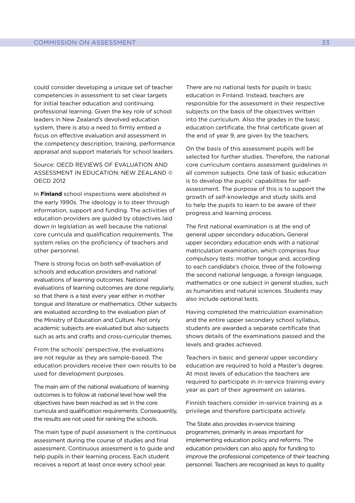could consider developing a unique set of teacher competencies in assessment to set clear targets for initial teacher education and continuing professional learning. Given the key role of school leaders in New Zealand's devolved education system, there is also a need to firmly embed a focus on effective evaluation and assessment in the competency description, training, performance appraisal and support materials for school leaders.

Source: OECD REVIEWS OF EVALUATION AND ASSESSMENT IN EDUCATION: NEW ZEALAND © OECD 2012

In **Finland** school inspections were abolished in the early 1990s. The ideology is to steer through information, support and funding. The activities of education providers are guided by objectives laid down in legislation as well because the national core curricula and qualification requirements. The system relies on the proficiency of teachers and other personnel.

There is strong focus on both self-evaluation of schools and education providers and national evaluations of learning outcomes. National evaluations of learning outcomes are done regularly, so that there is a test every year either in mother tongue and literature or mathematics. Other subjects are evaluated according to the evaluation plan of the Ministry of Education and Culture. Not only academic subjects are evaluated but also subjects such as arts and crafts and cross-curricular themes.

From the schools' perspective, the evaluations are not regular as they are sample-based. The education providers receive their own results to be used for development purposes.

The main aim of the national evaluations of learning outcomes is to follow at national level how well the objectives have been reached as set in the core curricula and qualification requirements. Consequently, the results are not used for ranking the schools.

The main type of pupil assessment is the continuous assessment during the course of studies and final assessment. Continuous assessment is to guide and help pupils in their learning process. Each student receives a report at least once every school year.

There are no national tests for pupils in basic education in Finland. Instead, teachers are responsible for the assessment in their respective subjects on the basis of the objectives written into the curriculum. Also the grades in the basic education certificate, the final certificate given at the end of year 9, are given by the teachers.

On the basis of this assessment pupils will be selected for further studies. Therefore, the national core curriculum contains assessment guidelines in all common subjects. One task of basic education is to develop the pupils' capabilities for selfassessment. The purpose of this is to support the growth of self-knowledge and study skills and to help the pupils to learn to be aware of their progress and learning process.

The first national examination is at the end of general upper secondary education**.** General upper secondary education ends with a national matriculation examination, which comprises four compulsory tests: mother tongue and, according to each candidate's choice, three of the following: the second national language, a foreign language, mathematics or one subject in general studies, such as humanities and natural sciences. Students may also include optional tests.

Having completed the matriculation examination and the entire upper secondary school syllabus, students are awarded a separate certificate that shows details of the examinations passed and the levels and grades achieved.

Teachers in basic and general upper secondary education are required to hold a Master's degree. At most levels of education the teachers are required to participate in in-service training every year as part of their agreement on salaries.

Finnish teachers consider in-service training as a privilege and therefore participate actively.

The State also provides in-service training programmes, primarily in areas important for implementing education policy and reforms. The education providers can also apply for funding to improve the professional competence of their teaching personnel. Teachers are recognised as keys to quality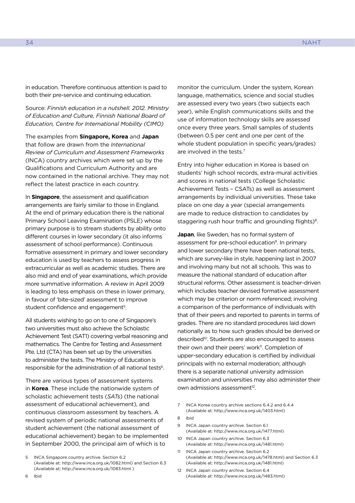in education. Therefore continuous attention is paid to both their pre-service and continuing education.

Source: *Finnish education in a nutshell. 2012. Ministry of Education and Culture, Finnish National Board of Education, Centre for International Mobility (CIMO)*

The examples from **Singapore, Korea** and **Japan** that follow are drawn from the *International Review of Curriculum and Assessment Frameworks*  (INCA) country archives which were set up by the Qualifications and Curriculum Authority and are now contained in the national archive. They may not reflect the latest practice in each country.

In **Singapore**, the assessment and qualification arrangements are fairly similar to those in England. At the end of primary education there is the national Primary School Leaving Examination (PSLE) whose primary purpose is to stream students by ability onto different courses in lower secondary (it also informs assessment of school performance). Continuous formative assessment in primary and lower secondary education is used by teachers to assess progress in extracurricular as well as academic studies. There are also mid and end of year examinations, which provide more summative information. A review in April 2009 is leading to less emphasis on these in lower primary, in favour of 'bite-sized' assessment to improve student confidence and engagement<sup>5</sup>.

All students wishing to go on to one of Singapore's two universities must also achieve the Scholastic Achievement Test (SAT1) covering verbal reasoning and mathematics. The Centre for Testing and Assessment Pte. Ltd (CTA) has been set up by the universities to administer the tests. The Ministry of Education is responsible for the administration of all national tests<sup>6</sup>.

There are various types of assessment systems in **Korea**. These include the nationwide system of scholastic achievement tests (*SATs*) (the national assessment of educational achievement), and continuous classroom assessment by teachers. A revised system of periodic national assessments of student achievement (the national assessment of educational achievement) began to be implemented in September 2000, the principal aim of which is to

monitor the curriculum. Under the system, Korean language, mathematics, science and social studies are assessed every two years (two subjects each year), while English communications skills and the use of information technology skills are assessed once every three years. Small samples of students (between 0.5 per cent and one per cent of the whole student population in specific years/grades) are involved in the tests.<sup>7</sup>

Entry into higher education in Korea is based on students' high school records, extra-mural activities and scores in national tests (College Scholastic Achievement Tests – CSATs) as well as assessment arrangements by individual universities. These take place on one day a year (special arrangements are made to reduce distraction to candidates by staggering rush hour traffic and grounding flights)<sup>8</sup>.

**Japan**, like Sweden, has no formal system of assessment for pre-school education<sup>9</sup>. In primary and lower secondary there have been national tests, which are survey-like in style, happening last in 2007 and involving many but not all schools. This was to measure the national standard of education after structural reforms. Other assessment is teacher-driven which includes teacher devised formative assessment which may be criterion or norm referenced; involving a comparison of the performance of individuals with that of their peers and reported to parents in terms of grades. There are no standard procedures laid down nationally as to how such grades should be derived or described<sup>10</sup>. Students are also encouraged to assess their own and their peers' work<sup>11</sup>. Completion of upper-secondary education is certified by individual principals with no external moderation; although there is a separate national university admission examination and universities may also administer their own admissions assessment<sup>12</sup>.

7 INCA Korea country archive sections 6.4.2 and 6.4.4 (Available at:<http://www.inca.org.uk/1403.html>)

8 Ibid

- INCA Japan country archive. Section 6.1 (Available at:<http://www.inca.org.uk/1477.html>)
- 10 INCA Japan country archive. Section 6.3 (Available at: [http://www.inca.org.uk/1481.html\)](http://www.inca.org.uk/1481.html)
- 11 INCA Japan country archive. Section 6.2 (Available at:<http://www.inca.org.uk/1478.html>) and Section 6.3 (Available at: [http://www.inca.org.uk/1481.html\)](http://www.inca.org.uk/1481.html)
- 12 INCA Japan country archive. Section 6.4 (Available at: [http://www.inca.org.uk/1483.html\)](http://www.inca.org.uk/1483.html)

<sup>5</sup> INCA Singapore country archive. Section 6.2 (Available at: [http://www.inca.org.uk/1082.html\)](http://www.inca.org.uk/1082.html) and Section 6.3 (Available at;<http://www.inca.org.uk/1083.html>)